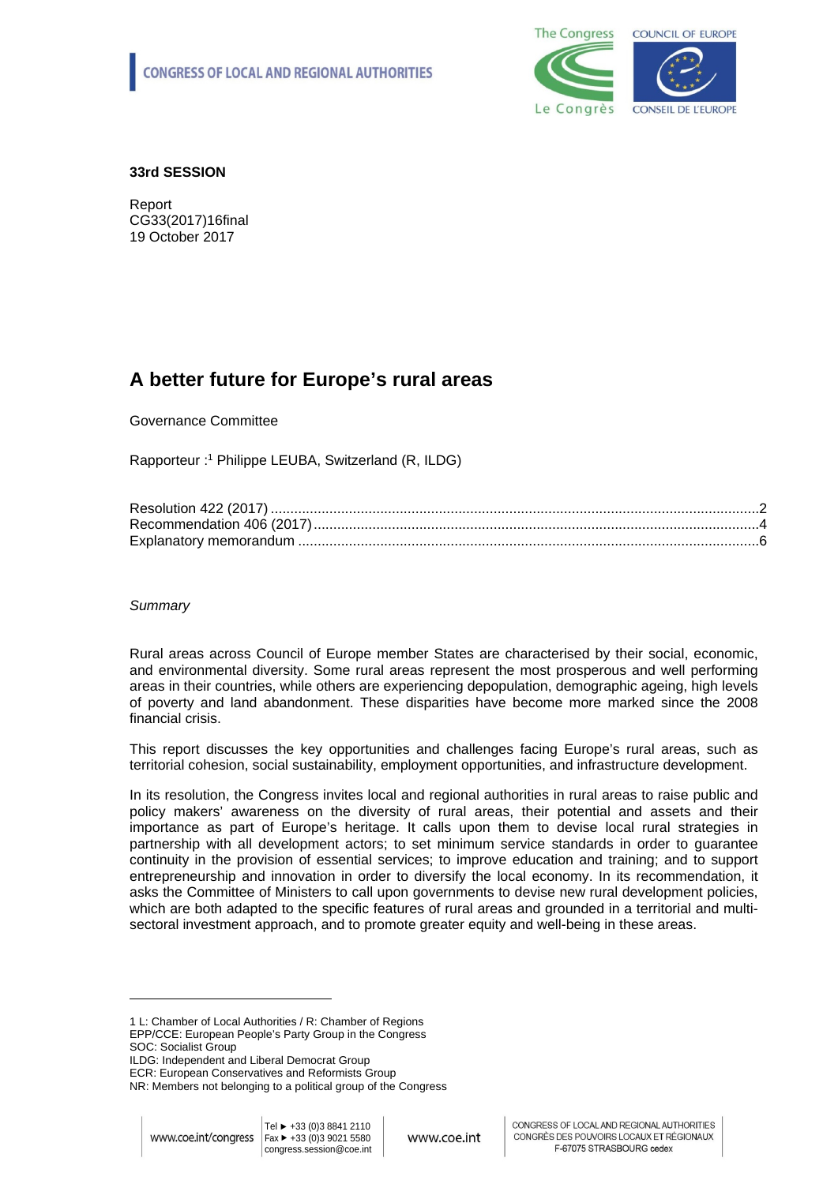

## **33rd SESSION**

Report CG33(2017)16final 19 October 2017

# **A better future for Europe's rural areas**

Governance Committee

Rapporteur :<sup>1</sup> Philippe LEUBA, Switzerland (R, ILDG)

## *Summary*

Rural areas across Council of Europe member States are characterised by their social, economic, and environmental diversity. Some rural areas represent the most prosperous and well performing areas in their countries, while others are experiencing depopulation, demographic ageing, high levels of poverty and land abandonment. These disparities have become more marked since the 2008 financial crisis.

This report discusses the key opportunities and challenges facing Europe's rural areas, such as territorial cohesion, social sustainability, employment opportunities, and infrastructure development.

In its resolution, the Congress invites local and regional authorities in rural areas to raise public and policy makers' awareness on the diversity of rural areas, their potential and assets and their importance as part of Europe's heritage. It calls upon them to devise local rural strategies in partnership with all development actors; to set minimum service standards in order to guarantee continuity in the provision of essential services; to improve education and training; and to support entrepreneurship and innovation in order to diversify the local economy. In its recommendation, it asks the Committee of Ministers to call upon governments to devise new rural development policies, which are both adapted to the specific features of rural areas and grounded in a territorial and multisectoral investment approach, and to promote greater equity and well-being in these areas.

1 L: Chamber of Local Authorities / R: Chamber of Regions EPP/CCE: European People's Party Group in the Congress SOC: Socialist Group

ILDG: Independent and Liberal Democrat Group

ECR: European Conservatives and Reformists Group

NR: Members not belonging to a political group of the Congress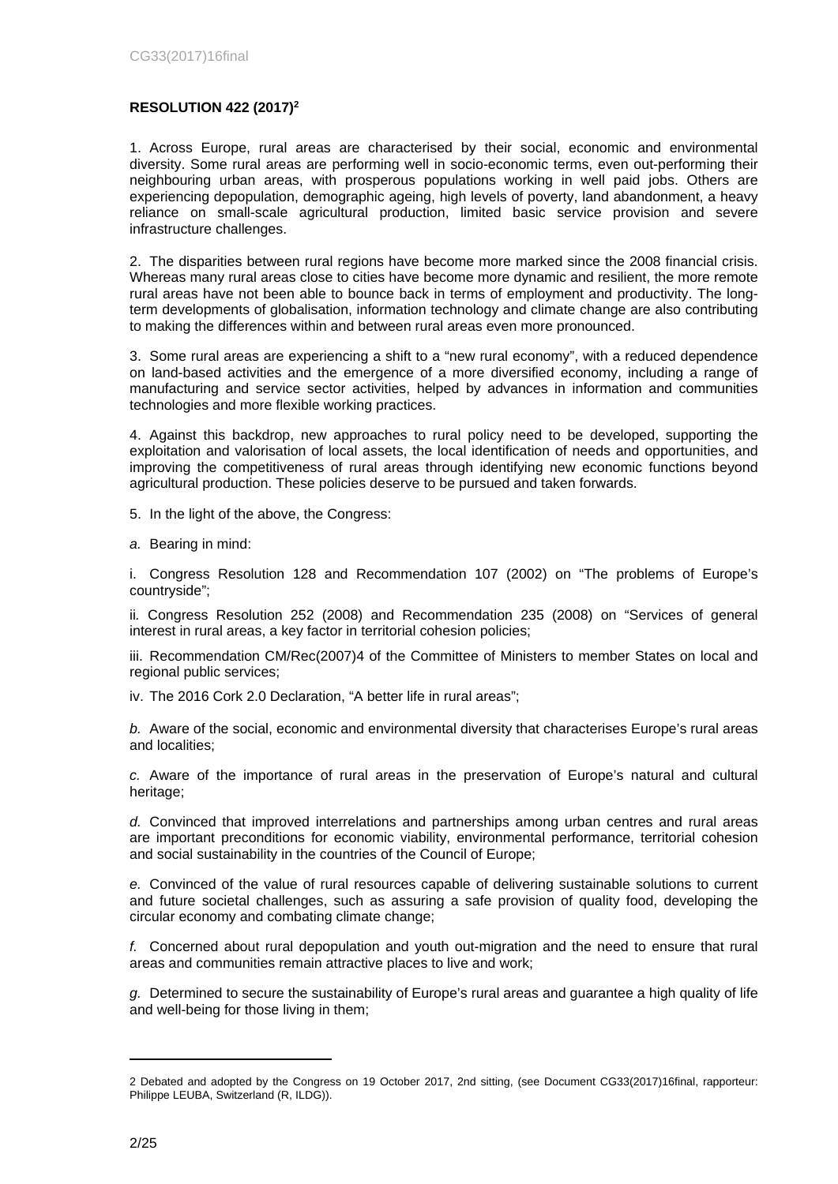## **RESOLUTION 422 (2017)<sup>2</sup>**

1. Across Europe, rural areas are characterised by their social, economic and environmental diversity. Some rural areas are performing well in socio-economic terms, even out-performing their neighbouring urban areas, with prosperous populations working in well paid jobs. Others are experiencing depopulation, demographic ageing, high levels of poverty, land abandonment, a heavy reliance on small-scale agricultural production, limited basic service provision and severe infrastructure challenges.

2. The disparities between rural regions have become more marked since the 2008 financial crisis. Whereas many rural areas close to cities have become more dynamic and resilient, the more remote rural areas have not been able to bounce back in terms of employment and productivity. The longterm developments of globalisation, information technology and climate change are also contributing to making the differences within and between rural areas even more pronounced.

3. Some rural areas are experiencing a shift to a "new rural economy", with a reduced dependence on land-based activities and the emergence of a more diversified economy, including a range of manufacturing and service sector activities, helped by advances in information and communities technologies and more flexible working practices.

4. Against this backdrop, new approaches to rural policy need to be developed, supporting the exploitation and valorisation of local assets, the local identification of needs and opportunities, and improving the competitiveness of rural areas through identifying new economic functions beyond agricultural production. These policies deserve to be pursued and taken forwards.

5. In the light of the above, the Congress:

*a.* Bearing in mind:

i. Congress Resolution 128 and Recommendation 107 (2002) on "The problems of Europe's countryside";

ii*.* Congress Resolution 252 (2008) and Recommendation 235 (2008) on "Services of general interest in rural areas, a key factor in territorial cohesion policies;

iii. Recommendation CM/Rec(2007)4 of the Committee of Ministers to member States on local and regional public services;

iv. The 2016 Cork 2.0 Declaration, "A better life in rural areas";

*b.* Aware of the social, economic and environmental diversity that characterises Europe's rural areas and localities;

*c.* Aware of the importance of rural areas in the preservation of Europe's natural and cultural heritage;

*d.* Convinced that improved interrelations and partnerships among urban centres and rural areas are important preconditions for economic viability, environmental performance, territorial cohesion and social sustainability in the countries of the Council of Europe;

*e.* Convinced of the value of rural resources capable of delivering sustainable solutions to current and future societal challenges, such as assuring a safe provision of quality food, developing the circular economy and combating climate change;

*f.* Concerned about rural depopulation and youth out-migration and the need to ensure that rural areas and communities remain attractive places to live and work;

*g.* Determined to secure the sustainability of Europe's rural areas and guarantee a high quality of life and well-being for those living in them;

<sup>2</sup> Debated and adopted by the Congress on 19 October 2017, 2nd sitting, (see Document CG33(2017)16final, rapporteur: Philippe LEUBA, Switzerland (R, ILDG)).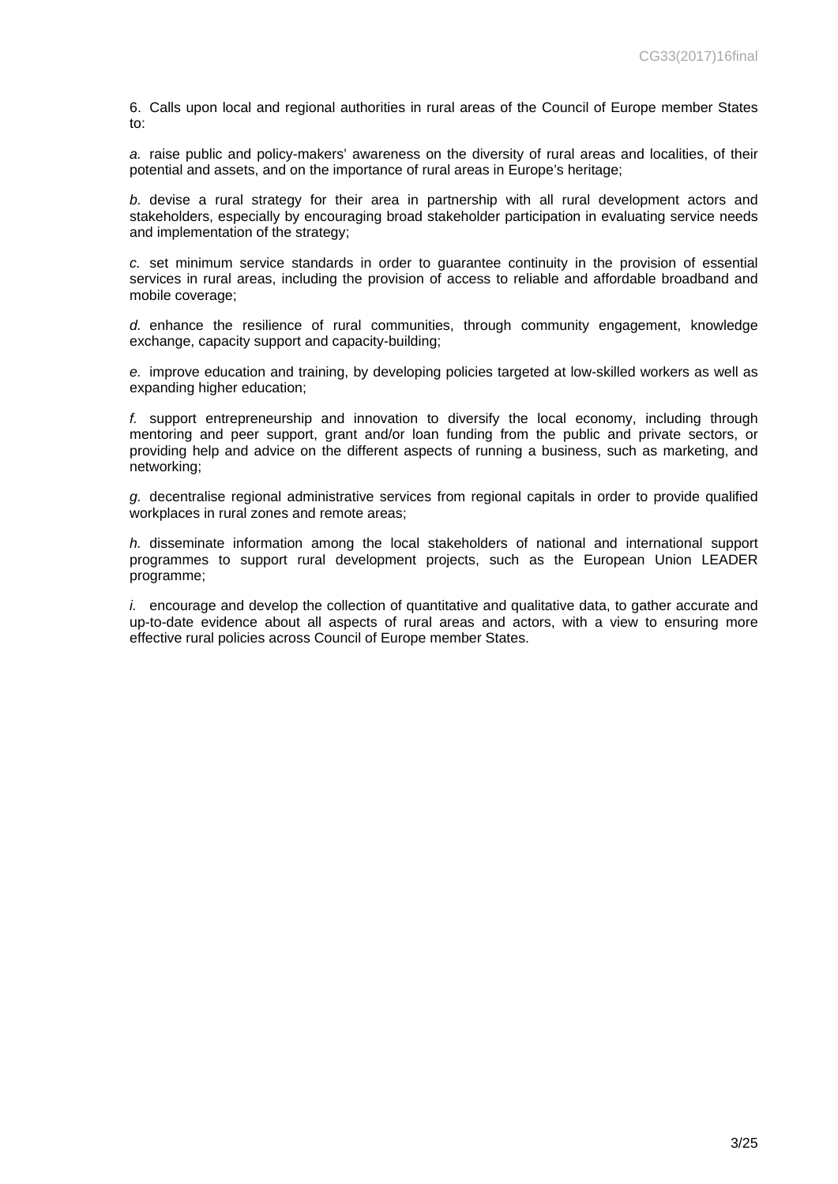6. Calls upon local and regional authorities in rural areas of the Council of Europe member States to:

*a.* raise public and policy-makers' awareness on the diversity of rural areas and localities, of their potential and assets, and on the importance of rural areas in Europe's heritage;

*b.* devise a rural strategy for their area in partnership with all rural development actors and stakeholders, especially by encouraging broad stakeholder participation in evaluating service needs and implementation of the strategy;

*c.* set minimum service standards in order to guarantee continuity in the provision of essential services in rural areas, including the provision of access to reliable and affordable broadband and mobile coverage;

*d.* enhance the resilience of rural communities, through community engagement, knowledge exchange, capacity support and capacity-building;

*e.* improve education and training, by developing policies targeted at low-skilled workers as well as expanding higher education;

*f.* support entrepreneurship and innovation to diversify the local economy, including through mentoring and peer support, grant and/or loan funding from the public and private sectors, or providing help and advice on the different aspects of running a business, such as marketing, and networking;

*g.* decentralise regional administrative services from regional capitals in order to provide qualified workplaces in rural zones and remote areas;

*h.* disseminate information among the local stakeholders of national and international support programmes to support rural development projects, such as the European Union LEADER programme;

*i.* encourage and develop the collection of quantitative and qualitative data, to gather accurate and up-to-date evidence about all aspects of rural areas and actors, with a view to ensuring more effective rural policies across Council of Europe member States.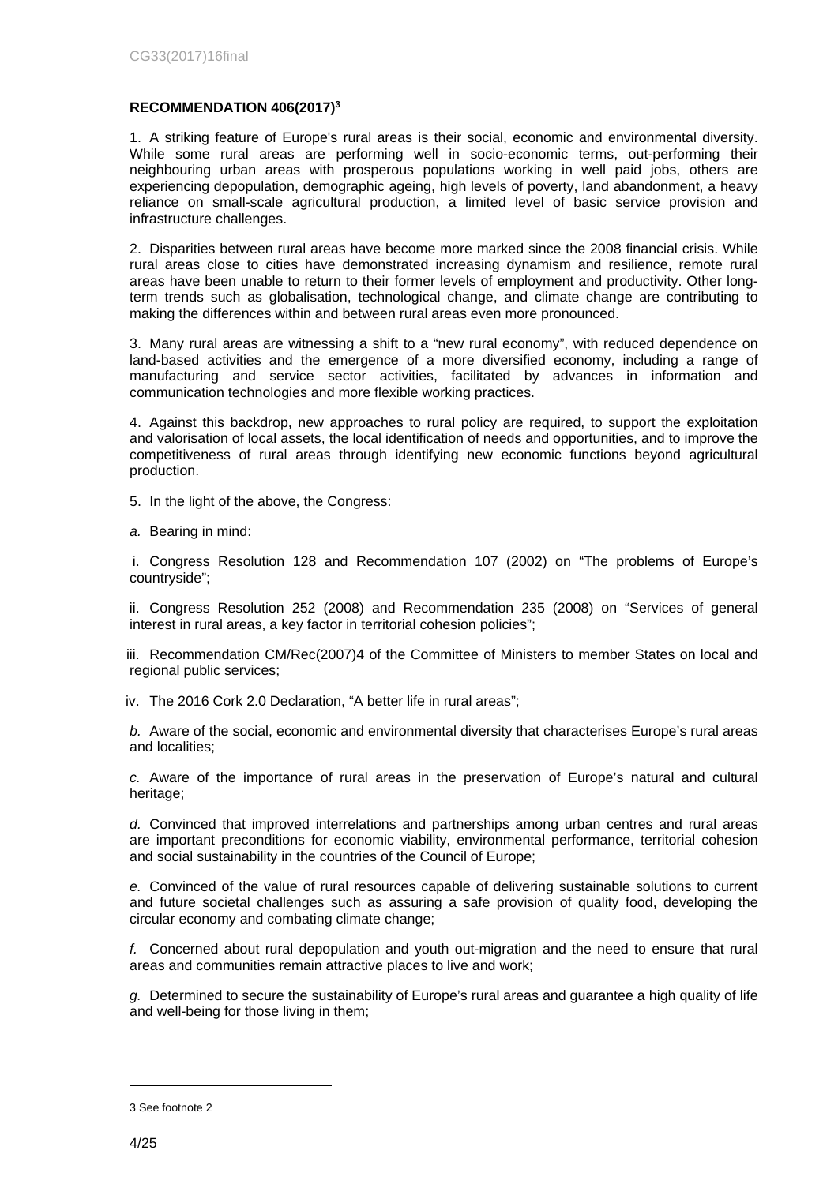#### **RECOMMENDATION 406(2017)<sup>3</sup>**

1. A striking feature of Europe's rural areas is their social, economic and environmental diversity. While some rural areas are performing well in socio-economic terms, out-performing their neighbouring urban areas with prosperous populations working in well paid jobs, others are experiencing depopulation, demographic ageing, high levels of poverty, land abandonment, a heavy reliance on small-scale agricultural production, a limited level of basic service provision and infrastructure challenges.

2. Disparities between rural areas have become more marked since the 2008 financial crisis. While rural areas close to cities have demonstrated increasing dynamism and resilience, remote rural areas have been unable to return to their former levels of employment and productivity. Other longterm trends such as globalisation, technological change, and climate change are contributing to making the differences within and between rural areas even more pronounced.

3. Many rural areas are witnessing a shift to a "new rural economy", with reduced dependence on land-based activities and the emergence of a more diversified economy, including a range of manufacturing and service sector activities, facilitated by advances in information and communication technologies and more flexible working practices.

4. Against this backdrop, new approaches to rural policy are required, to support the exploitation and valorisation of local assets, the local identification of needs and opportunities, and to improve the competitiveness of rural areas through identifying new economic functions beyond agricultural production.

- 5. In the light of the above, the Congress:
- *a.* Bearing in mind:

i. Congress Resolution 128 and Recommendation 107 (2002) on "The problems of Europe's countryside";

ii. Congress Resolution 252 (2008) and Recommendation 235 (2008) on "Services of general interest in rural areas, a key factor in territorial cohesion policies";

iii. Recommendation CM/Rec(2007)4 of the Committee of Ministers to member States on local and regional public services;

iv. The 2016 Cork 2.0 Declaration, "A better life in rural areas";

*b.* Aware of the social, economic and environmental diversity that characterises Europe's rural areas and localities;

*c.* Aware of the importance of rural areas in the preservation of Europe's natural and cultural heritage;

*d.* Convinced that improved interrelations and partnerships among urban centres and rural areas are important preconditions for economic viability, environmental performance, territorial cohesion and social sustainability in the countries of the Council of Europe;

*e.* Convinced of the value of rural resources capable of delivering sustainable solutions to current and future societal challenges such as assuring a safe provision of quality food, developing the circular economy and combating climate change;

*f.* Concerned about rural depopulation and youth out-migration and the need to ensure that rural areas and communities remain attractive places to live and work;

*g.* Determined to secure the sustainability of Europe's rural areas and guarantee a high quality of life and well-being for those living in them;

<sup>3</sup> See footnote 2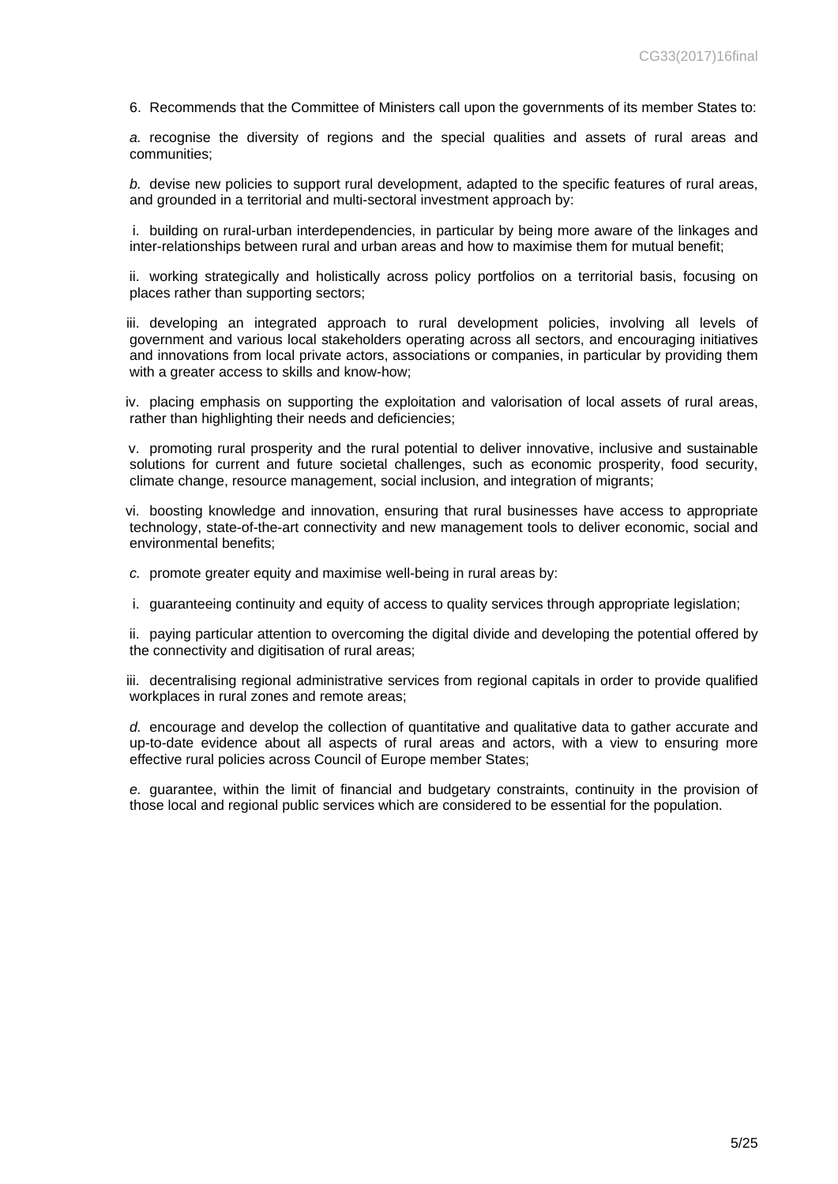6. Recommends that the Committee of Ministers call upon the governments of its member States to:

*a.* recognise the diversity of regions and the special qualities and assets of rural areas and communities;

*b.* devise new policies to support rural development, adapted to the specific features of rural areas, and grounded in a territorial and multi-sectoral investment approach by:

i. building on rural-urban interdependencies, in particular by being more aware of the linkages and inter-relationships between rural and urban areas and how to maximise them for mutual benefit;

ii. working strategically and holistically across policy portfolios on a territorial basis, focusing on places rather than supporting sectors;

iii. developing an integrated approach to rural development policies, involving all levels of government and various local stakeholders operating across all sectors, and encouraging initiatives and innovations from local private actors, associations or companies, in particular by providing them with a greater access to skills and know-how:

iv. placing emphasis on supporting the exploitation and valorisation of local assets of rural areas, rather than highlighting their needs and deficiencies:

v. promoting rural prosperity and the rural potential to deliver innovative, inclusive and sustainable solutions for current and future societal challenges, such as economic prosperity, food security, climate change, resource management, social inclusion, and integration of migrants;

vi. boosting knowledge and innovation, ensuring that rural businesses have access to appropriate technology, state-of-the-art connectivity and new management tools to deliver economic, social and environmental benefits;

*c.* promote greater equity and maximise well-being in rural areas by:

i. guaranteeing continuity and equity of access to quality services through appropriate legislation;

ii. paying particular attention to overcoming the digital divide and developing the potential offered by the connectivity and digitisation of rural areas;

iii. decentralising regional administrative services from regional capitals in order to provide qualified workplaces in rural zones and remote areas;

*d.* encourage and develop the collection of quantitative and qualitative data to gather accurate and up-to-date evidence about all aspects of rural areas and actors, with a view to ensuring more effective rural policies across Council of Europe member States;

*e.* guarantee, within the limit of financial and budgetary constraints, continuity in the provision of those local and regional public services which are considered to be essential for the population.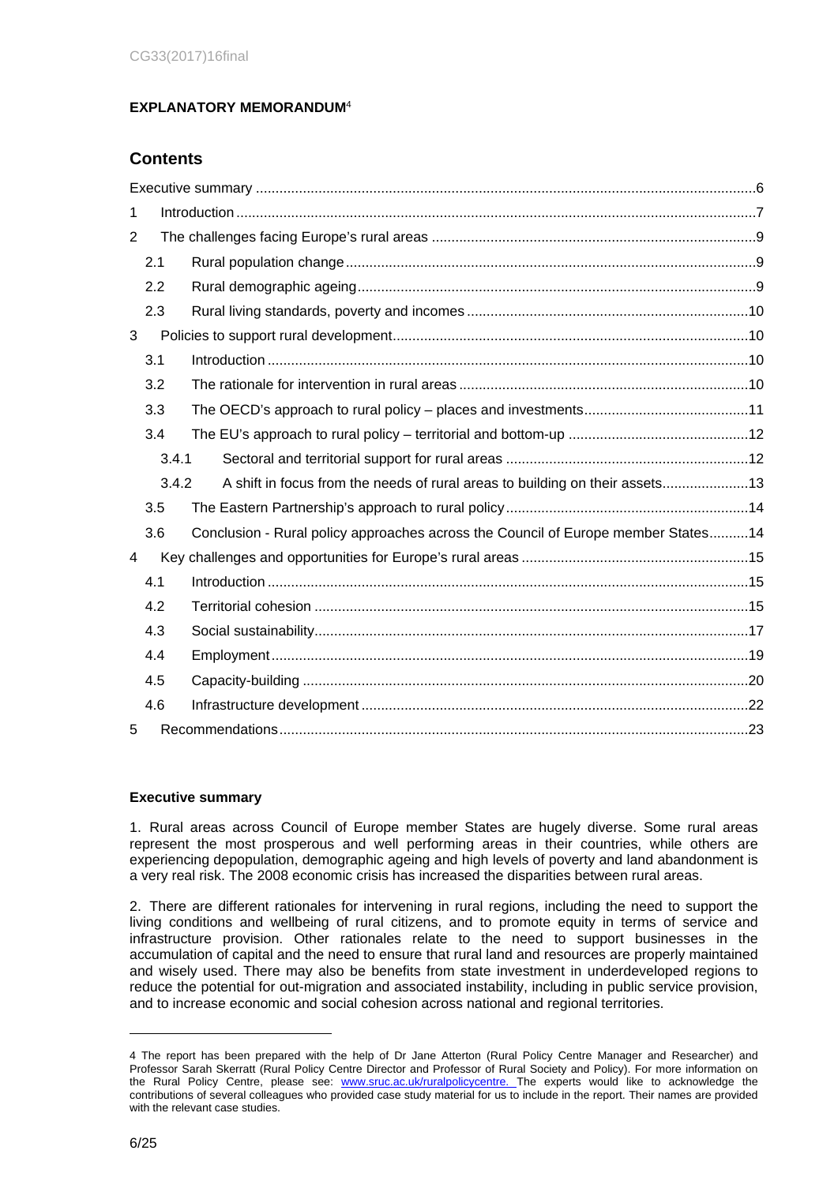## **EXPLANATORY MEMORANDUM**<sup>4</sup>

## **Contents**

| 1              |       |                                                                                   |  |  |  |
|----------------|-------|-----------------------------------------------------------------------------------|--|--|--|
| $\overline{2}$ |       |                                                                                   |  |  |  |
|                | 2.1   |                                                                                   |  |  |  |
|                | 2.2   |                                                                                   |  |  |  |
|                | 2.3   |                                                                                   |  |  |  |
| 3              |       |                                                                                   |  |  |  |
|                | 3.1   |                                                                                   |  |  |  |
|                | 3.2   |                                                                                   |  |  |  |
|                | 3.3   |                                                                                   |  |  |  |
|                | 3.4   |                                                                                   |  |  |  |
|                | 3.4.1 |                                                                                   |  |  |  |
|                | 3.4.2 | A shift in focus from the needs of rural areas to building on their assets13      |  |  |  |
|                | 3.5   |                                                                                   |  |  |  |
|                | 3.6   | Conclusion - Rural policy approaches across the Council of Europe member States14 |  |  |  |
| 4              |       |                                                                                   |  |  |  |
|                | 4.1   |                                                                                   |  |  |  |
|                | 4.2   |                                                                                   |  |  |  |
|                | 4.3   |                                                                                   |  |  |  |
|                | 4.4   |                                                                                   |  |  |  |
|                | 4.5   |                                                                                   |  |  |  |
|                | 4.6   |                                                                                   |  |  |  |
| 5              |       |                                                                                   |  |  |  |

## <span id="page-5-0"></span>**Executive summary**

1. Rural areas across Council of Europe member States are hugely diverse. Some rural areas represent the most prosperous and well performing areas in their countries, while others are experiencing depopulation, demographic ageing and high levels of poverty and land abandonment is a very real risk. The 2008 economic crisis has increased the disparities between rural areas.

2. There are different rationales for intervening in rural regions, including the need to support the living conditions and wellbeing of rural citizens, and to promote equity in terms of service and infrastructure provision. Other rationales relate to the need to support businesses in the accumulation of capital and the need to ensure that rural land and resources are properly maintained and wisely used. There may also be benefits from state investment in underdeveloped regions to reduce the potential for out-migration and associated instability, including in public service provision, and to increase economic and social cohesion across national and regional territories.

<sup>4</sup> The report has been prepared with the help of Dr Jane Atterton (Rural Policy Centre Manager and Researcher) and Professor Sarah Skerratt (Rural Policy Centre Director and Professor of Rural Society and Policy). For more information on the Rural Policy Centre, please see: [www.sruc.ac.uk/ruralpolicycentre](http://www.sruc.ac.uk/ruralpolicycentre). The experts would like to acknowledge the contributions of several colleagues who provided case study material for us to include in the report. Their names are provided with the relevant case studies.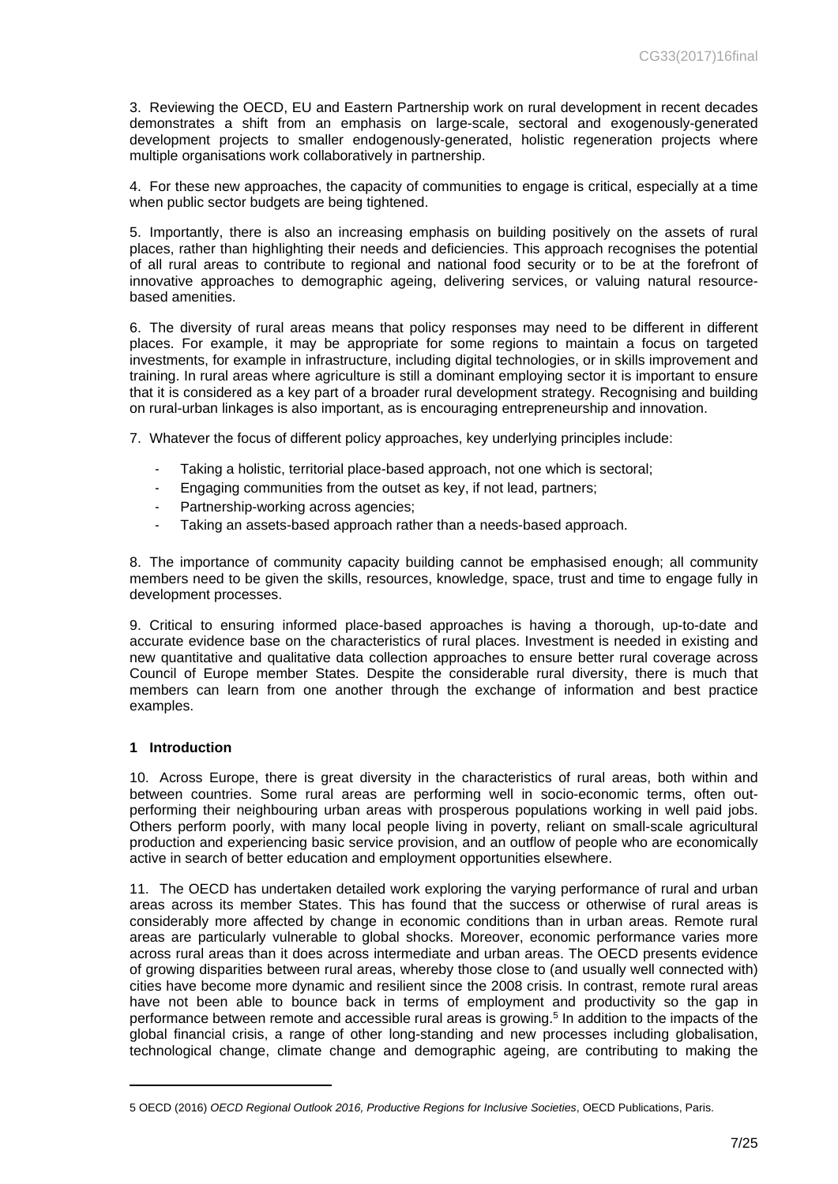3. Reviewing the OECD, EU and Eastern Partnership work on rural development in recent decades demonstrates a shift from an emphasis on large-scale, sectoral and exogenously-generated development projects to smaller endogenously-generated, holistic regeneration projects where multiple organisations work collaboratively in partnership.

4. For these new approaches, the capacity of communities to engage is critical, especially at a time when public sector budgets are being tightened.

5. Importantly, there is also an increasing emphasis on building positively on the assets of rural places, rather than highlighting their needs and deficiencies. This approach recognises the potential of all rural areas to contribute to regional and national food security or to be at the forefront of innovative approaches to demographic ageing, delivering services, or valuing natural resourcebased amenities.

6. The diversity of rural areas means that policy responses may need to be different in different places. For example, it may be appropriate for some regions to maintain a focus on targeted investments, for example in infrastructure, including digital technologies, or in skills improvement and training. In rural areas where agriculture is still a dominant employing sector it is important to ensure that it is considered as a key part of a broader rural development strategy. Recognising and building on rural-urban linkages is also important, as is encouraging entrepreneurship and innovation.

7. Whatever the focus of different policy approaches, key underlying principles include:

- Taking a holistic, territorial place-based approach, not one which is sectoral;
- Engaging communities from the outset as key, if not lead, partners;
- Partnership-working across agencies;
- Taking an assets-based approach rather than a needs-based approach.

8. The importance of community capacity building cannot be emphasised enough; all community members need to be given the skills, resources, knowledge, space, trust and time to engage fully in development processes.

9. Critical to ensuring informed place-based approaches is having a thorough, up-to-date and accurate evidence base on the characteristics of rural places. Investment is needed in existing and new quantitative and qualitative data collection approaches to ensure better rural coverage across Council of Europe member States. Despite the considerable rural diversity, there is much that members can learn from one another through the exchange of information and best practice examples.

#### <span id="page-6-0"></span>**1 Introduction**

10. Across Europe, there is great diversity in the characteristics of rural areas, both within and between countries. Some rural areas are performing well in socio-economic terms, often outperforming their neighbouring urban areas with prosperous populations working in well paid jobs. Others perform poorly, with many local people living in poverty, reliant on small-scale agricultural production and experiencing basic service provision, and an outflow of people who are economically active in search of better education and employment opportunities elsewhere.

11. The OECD has undertaken detailed work exploring the varying performance of rural and urban areas across its member States. This has found that the success or otherwise of rural areas is considerably more affected by change in economic conditions than in urban areas. Remote rural areas are particularly vulnerable to global shocks. Moreover, economic performance varies more across rural areas than it does across intermediate and urban areas. The OECD presents evidence of growing disparities between rural areas, whereby those close to (and usually well connected with) cities have become more dynamic and resilient since the 2008 crisis. In contrast, remote rural areas have not been able to bounce back in terms of employment and productivity so the gap in performance between remote and accessible rural areas is growing.<sup>5</sup> In addition to the impacts of the global financial crisis, a range of other long-standing and new processes including globalisation, technological change, climate change and demographic ageing, are contributing to making the

<sup>5</sup> OECD (2016) *OECD Regional Outlook 2016, Productive Regions for Inclusive Societies*, OECD Publications, Paris.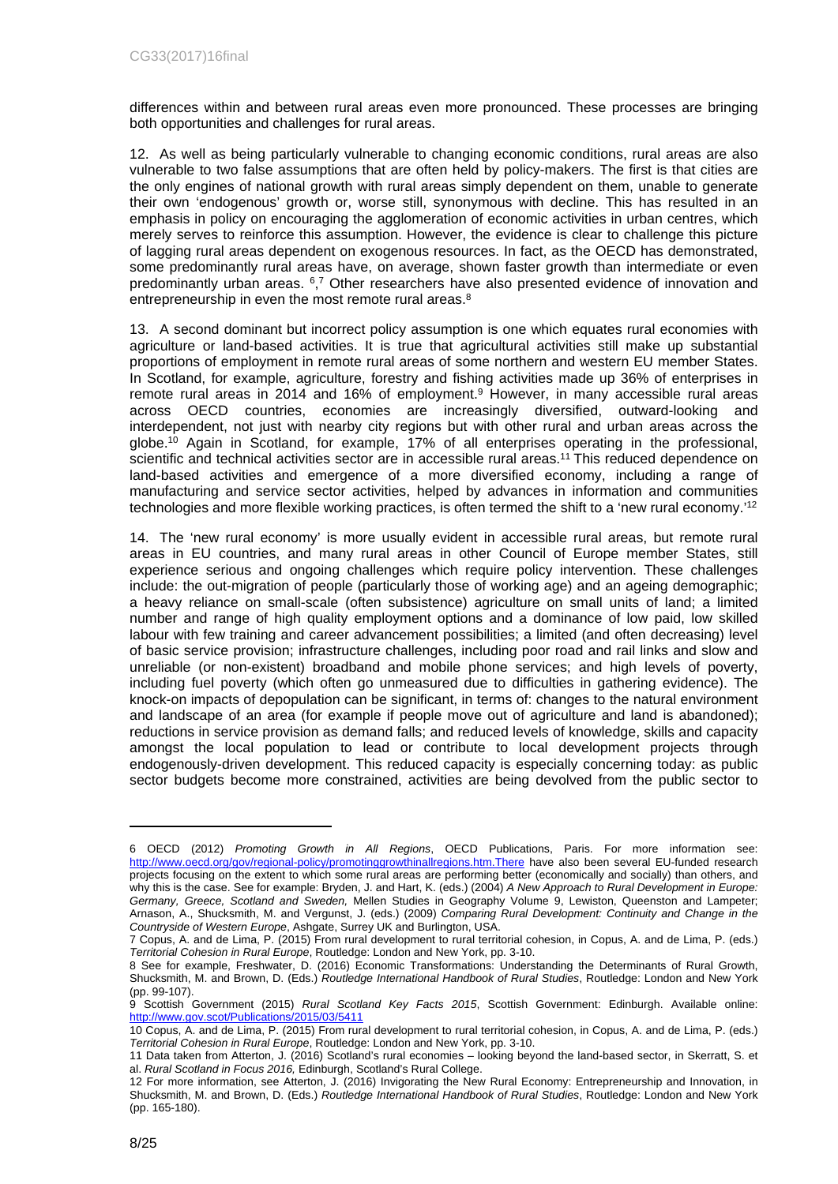differences within and between rural areas even more pronounced. These processes are bringing both opportunities and challenges for rural areas.

12. As well as being particularly vulnerable to changing economic conditions, rural areas are also vulnerable to two false assumptions that are often held by policy-makers. The first is that cities are the only engines of national growth with rural areas simply dependent on them, unable to generate their own 'endogenous' growth or, worse still, synonymous with decline. This has resulted in an emphasis in policy on encouraging the agglomeration of economic activities in urban centres, which merely serves to reinforce this assumption. However, the evidence is clear to challenge this picture of lagging rural areas dependent on exogenous resources. In fact, as the OECD has demonstrated, some predominantly rural areas have, on average, shown faster growth than intermediate or even predominantly urban areas. <sup>6</sup><sup>7</sup> Other researchers have also presented evidence of innovation and entrepreneurship in even the most remote rural areas.<sup>8</sup>

13. A second dominant but incorrect policy assumption is one which equates rural economies with agriculture or land-based activities. It is true that agricultural activities still make up substantial proportions of employment in remote rural areas of some northern and western EU member States. In Scotland, for example, agriculture, forestry and fishing activities made up 36% of enterprises in remote rural areas in 2014 and 16% of employment.<sup>9</sup> However, in many accessible rural areas across OECD countries, economies are increasingly diversified, outward-looking and interdependent, not just with nearby city regions but with other rural and urban areas across the globe.<sup>10</sup> Again in Scotland, for example, 17% of all enterprises operating in the professional, scientific and technical activities sector are in accessible rural areas.<sup>11</sup> This reduced dependence on land-based activities and emergence of a more diversified economy, including a range of manufacturing and service sector activities, helped by advances in information and communities technologies and more flexible working practices, is often termed the shift to a 'new rural economy.'<sup>12</sup>

14. The 'new rural economy' is more usually evident in accessible rural areas, but remote rural areas in EU countries, and many rural areas in other Council of Europe member States, still experience serious and ongoing challenges which require policy intervention. These challenges include: the out-migration of people (particularly those of working age) and an ageing demographic; a heavy reliance on small-scale (often subsistence) agriculture on small units of land; a limited number and range of high quality employment options and a dominance of low paid, low skilled labour with few training and career advancement possibilities; a limited (and often decreasing) level of basic service provision; infrastructure challenges, including poor road and rail links and slow and unreliable (or non-existent) broadband and mobile phone services; and high levels of poverty, including fuel poverty (which often go unmeasured due to difficulties in gathering evidence). The knock-on impacts of depopulation can be significant, in terms of: changes to the natural environment and landscape of an area (for example if people move out of agriculture and land is abandoned); reductions in service provision as demand falls; and reduced levels of knowledge, skills and capacity amongst the local population to lead or contribute to local development projects through endogenously-driven development. This reduced capacity is especially concerning today: as public sector budgets become more constrained, activities are being devolved from the public sector to

<sup>6</sup> OECD (2012) *Promoting Growth in All Regions*, OECD Publications, Paris. For more information see: <http://www.oecd.org/gov/regional-policy/promotinggrowthinallregions.htm.There>have also been several EU-funded research projects focusing on the extent to which some rural areas are performing better (economically and socially) than others, and why this is the case. See for example: Bryden, J. and Hart, K. (eds.) (2004) *A New Approach to Rural Development in Europe: Germany, Greece, Scotland and Sweden,* Mellen Studies in Geography Volume 9, Lewiston, Queenston and Lampeter; Arnason, A., Shucksmith, M. and Vergunst, J. (eds.) (2009) *Comparing Rural Development: Continuity and Change in the Countryside of Western Europe*, Ashgate, Surrey UK and Burlington, USA.

<sup>7</sup> Copus, A. and de Lima, P. (2015) From rural development to rural territorial cohesion, in Copus, A. and de Lima, P. (eds.) *Territorial Cohesion in Rural Europe*, Routledge: London and New York, pp. 3-10.

<sup>8</sup> See for example, Freshwater, D. (2016) Economic Transformations: Understanding the Determinants of Rural Growth, Shucksmith, M. and Brown, D. (Eds.) *Routledge International Handbook of Rural Studies*, Routledge: London and New York (pp. 99-107).

<sup>9</sup> Scottish Government (2015) *Rural Scotland Key Facts 2015*, Scottish Government: Edinburgh. Available online: <http://www.gov.scot/Publications/2015/03/5411>

<sup>10</sup> Copus, A. and de Lima, P. (2015) From rural development to rural territorial cohesion, in Copus, A. and de Lima, P. (eds.) *Territorial Cohesion in Rural Europe*, Routledge: London and New York, pp. 3-10.

<sup>11</sup> Data taken from Atterton, J. (2016) Scotland's rural economies – looking beyond the land-based sector, in Skerratt, S. et al. *Rural Scotland in Focus 2016,* Edinburgh, Scotland's Rural College.

<sup>12</sup> For more information, see Atterton, J. (2016) Invigorating the New Rural Economy: Entrepreneurship and Innovation, in Shucksmith, M. and Brown, D. (Eds.) *Routledge International Handbook of Rural Studies*, Routledge: London and New York (pp. 165-180).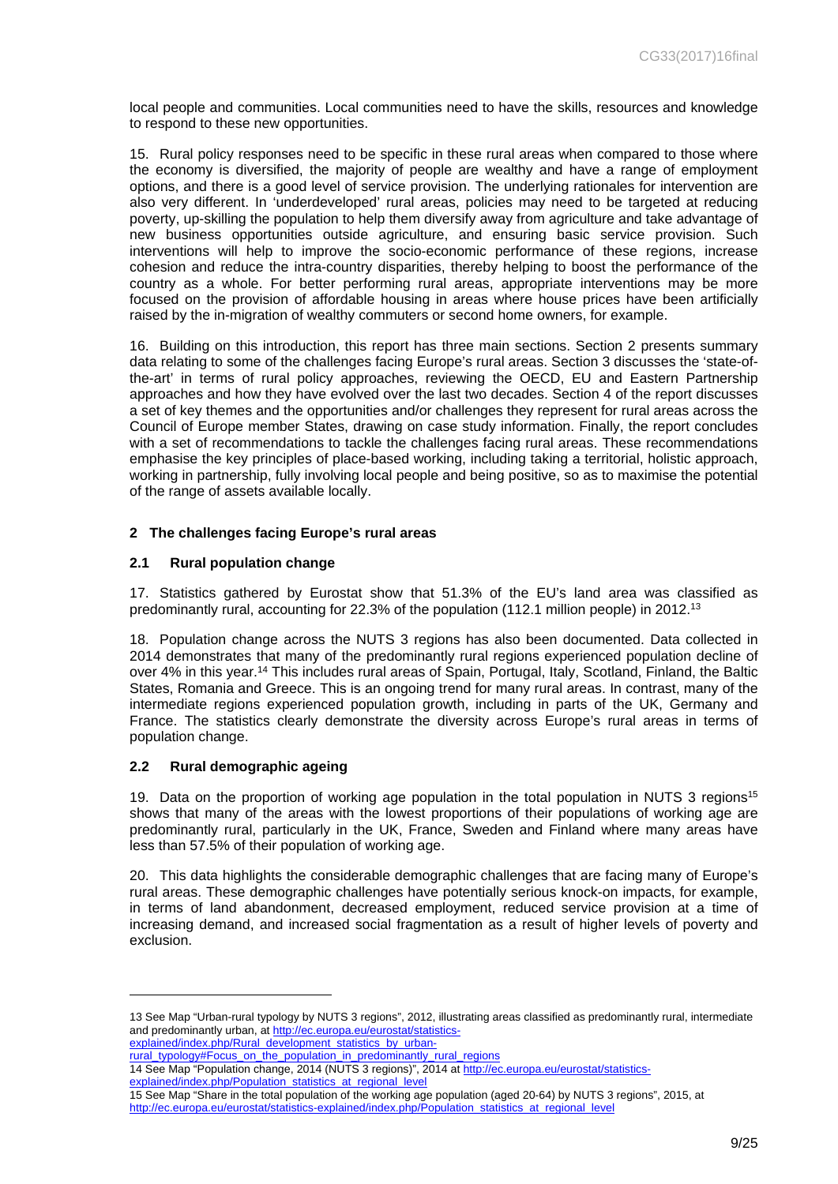local people and communities. Local communities need to have the skills, resources and knowledge to respond to these new opportunities.

15. Rural policy responses need to be specific in these rural areas when compared to those where the economy is diversified, the majority of people are wealthy and have a range of employment options, and there is a good level of service provision. The underlying rationales for intervention are also very different. In 'underdeveloped' rural areas, policies may need to be targeted at reducing poverty, up-skilling the population to help them diversify away from agriculture and take advantage of new business opportunities outside agriculture, and ensuring basic service provision. Such interventions will help to improve the socio-economic performance of these regions, increase cohesion and reduce the intra-country disparities, thereby helping to boost the performance of the country as a whole. For better performing rural areas, appropriate interventions may be more focused on the provision of affordable housing in areas where house prices have been artificially raised by the in-migration of wealthy commuters or second home owners, for example.

16. Building on this introduction, this report has three main sections. Section 2 presents summary data relating to some of the challenges facing Europe's rural areas. Section 3 discusses the 'state-ofthe-art' in terms of rural policy approaches, reviewing the OECD, EU and Eastern Partnership approaches and how they have evolved over the last two decades. Section 4 of the report discusses a set of key themes and the opportunities and/or challenges they represent for rural areas across the Council of Europe member States, drawing on case study information. Finally, the report concludes with a set of recommendations to tackle the challenges facing rural areas. These recommendations emphasise the key principles of place-based working, including taking a territorial, holistic approach, working in partnership, fully involving local people and being positive, so as to maximise the potential of the range of assets available locally.

## <span id="page-8-0"></span>**2 The challenges facing Europe's rural areas**

## <span id="page-8-1"></span>**2.1 Rural population change**

17. Statistics gathered by Eurostat show that 51.3% of the EU's land area was classified as predominantly rural, accounting for 22.3% of the population (112.1 million people) in 2012.<sup>13</sup>

18. Population change across the NUTS 3 regions has also been documented. Data collected in 2014 demonstrates that many of the predominantly rural regions experienced population decline of over 4% in this year.<sup>14</sup> This includes rural areas of Spain, Portugal, Italy, Scotland, Finland, the Baltic States, Romania and Greece. This is an ongoing trend for many rural areas. In contrast, many of the intermediate regions experienced population growth, including in parts of the UK, Germany and France. The statistics clearly demonstrate the diversity across Europe's rural areas in terms of population change.

## <span id="page-8-2"></span>**2.2 Rural demographic ageing**

19. Data on the proportion of working age population in the total population in NUTS 3 regions<sup>15</sup> shows that many of the areas with the lowest proportions of their populations of working age are predominantly rural, particularly in the UK, France, Sweden and Finland where many areas have less than 57.5% of their population of working age.

20. This data highlights the considerable demographic challenges that are facing many of Europe's rural areas. These demographic challenges have potentially serious knock-on impacts, for example, in terms of land abandonment, decreased employment, reduced service provision at a time of increasing demand, and increased social fragmentation as a result of higher levels of poverty and exclusion.

[explained/index.php/Rural\\_development\\_statistics\\_by\\_urban](http://ec.europa.eu/eurostat/statistics-explained/index.php/Rural_development_statistics_by_urban-rural_typology#Focus_on_the_population_in_predominantly_rural_regions)[rural\\_typology#Focus\\_on\\_the\\_population\\_in\\_predominantly\\_rural\\_regions](http://ec.europa.eu/eurostat/statistics-explained/index.php/Rural_development_statistics_by_urban-rural_typology#Focus_on_the_population_in_predominantly_rural_regions)

<sup>13</sup> See Map "Urban-rural typology by NUTS 3 regions", 2012, illustrating areas classified as predominantly rural, intermediate and predominantly urban, at [http://ec.europa.eu/eurostat/statistics-](http://ec.europa.eu/eurostat/statistics-explained/index.php/Rural_development_statistics_by_urban-rural_typology#Focus_on_the_population_in_predominantly_rural_regions)

<sup>14</sup> See Map "Population change, 2014 (NUTS 3 regions)", 2014 at [http://ec.europa.eu/eurostat/statistics](http://ec.europa.eu/eurostat/statistics-explained/index.php/Population_statistics_at_regional_level)[explained/index.php/Population\\_statistics\\_at\\_regional\\_level](http://ec.europa.eu/eurostat/statistics-explained/index.php/Population_statistics_at_regional_level)

<sup>15</sup> See Map "Share in the total population of the working age population (aged 20-64) by NUTS 3 regions", 2015, at [http://ec.europa.eu/eurostat/statistics-explained/index.php/Population\\_statistics\\_at\\_regional\\_level](http://ec.europa.eu/eurostat/statistics-explained/index.php/Population_statistics_at_regional_level)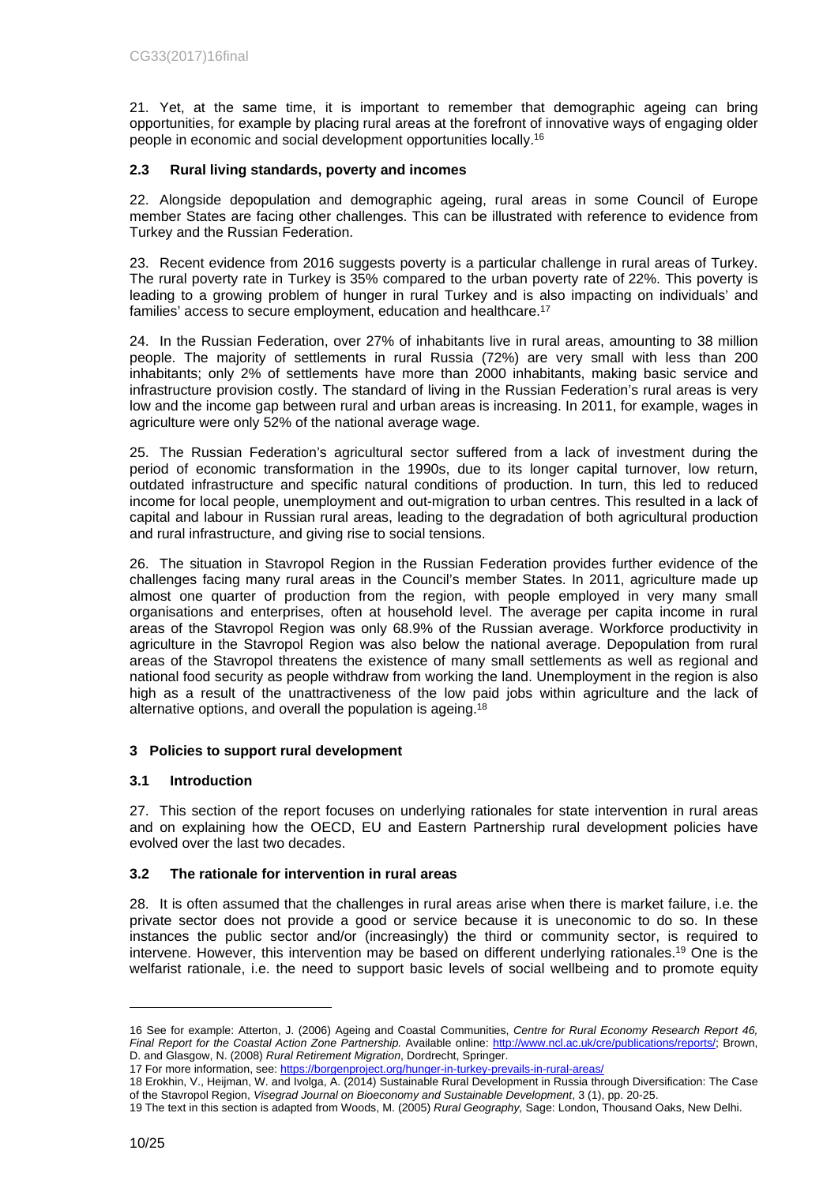21. Yet, at the same time, it is important to remember that demographic ageing can bring opportunities, for example by placing rural areas at the forefront of innovative ways of engaging older people in economic and social development opportunities locally.<sup>16</sup>

## <span id="page-9-0"></span>**2.3 Rural living standards, poverty and incomes**

22. Alongside depopulation and demographic ageing, rural areas in some Council of Europe member States are facing other challenges. This can be illustrated with reference to evidence from Turkey and the Russian Federation.

23. Recent evidence from 2016 suggests poverty is a particular challenge in rural areas of Turkey. The rural poverty rate in Turkey is 35% compared to the urban poverty rate of 22%. This poverty is leading to a growing problem of hunger in rural Turkey and is also impacting on individuals' and families' access to secure employment, education and healthcare.<sup>17</sup>

24. In the Russian Federation, over 27% of inhabitants live in rural areas, amounting to 38 million people. The majority of settlements in rural Russia (72%) are very small with less than 200 inhabitants; only 2% of settlements have more than 2000 inhabitants, making basic service and infrastructure provision costly. The standard of living in the Russian Federation's rural areas is very low and the income gap between rural and urban areas is increasing. In 2011, for example, wages in agriculture were only 52% of the national average wage.

25. The Russian Federation's agricultural sector suffered from a lack of investment during the period of economic transformation in the 1990s, due to its longer capital turnover, low return, outdated infrastructure and specific natural conditions of production. In turn, this led to reduced income for local people, unemployment and out-migration to urban centres. This resulted in a lack of capital and labour in Russian rural areas, leading to the degradation of both agricultural production and rural infrastructure, and giving rise to social tensions.

26. The situation in Stavropol Region in the Russian Federation provides further evidence of the challenges facing many rural areas in the Council's member States. In 2011, agriculture made up almost one quarter of production from the region, with people employed in very many small organisations and enterprises, often at household level. The average per capita income in rural areas of the Stavropol Region was only 68.9% of the Russian average. Workforce productivity in agriculture in the Stavropol Region was also below the national average. Depopulation from rural areas of the Stavropol threatens the existence of many small settlements as well as regional and national food security as people withdraw from working the land. Unemployment in the region is also high as a result of the unattractiveness of the low paid jobs within agriculture and the lack of alternative options, and overall the population is ageing.<sup>18</sup>

## <span id="page-9-1"></span>**3 Policies to support rural development**

## <span id="page-9-2"></span>**3.1 Introduction**

27. This section of the report focuses on underlying rationales for state intervention in rural areas and on explaining how the OECD, EU and Eastern Partnership rural development policies have evolved over the last two decades.

## <span id="page-9-3"></span>**3.2 The rationale for intervention in rural areas**

28. It is often assumed that the challenges in rural areas arise when there is market failure, i.e. the private sector does not provide a good or service because it is uneconomic to do so. In these instances the public sector and/or (increasingly) the third or community sector, is required to intervene. However, this intervention may be based on different underlying rationales.<sup>19</sup> One is the welfarist rationale, i.e. the need to support basic levels of social wellbeing and to promote equity

<sup>16</sup> See for example: Atterton, J. (2006) Ageing and Coastal Communities, *Centre for Rural Economy Research Report 46, Final Report for the Coastal Action Zone Partnership.* Available online: [http://www.ncl.ac.uk/cre/publications/reports/;](http://www.ncl.ac.uk/cre/publications/reports/) Brown, D. and Glasgow, N. (2008) *Rural Retirement Migration*, Dordrecht, Springer.

<sup>17</sup> For more information, see:<https://borgenproject.org/hunger-in-turkey-prevails-in-rural-areas/>

<sup>18</sup> Erokhin, V., Heijman, W. and Ivolga, A. (2014) Sustainable Rural Development in Russia through Diversification: The Case of the Stavropol Region, *Visegrad Journal on Bioeconomy and Sustainable Development*, 3 (1), pp. 20-25.

<sup>19</sup> The text in this section is adapted from Woods, M. (2005) *Rural Geography,* Sage: London, Thousand Oaks, New Delhi.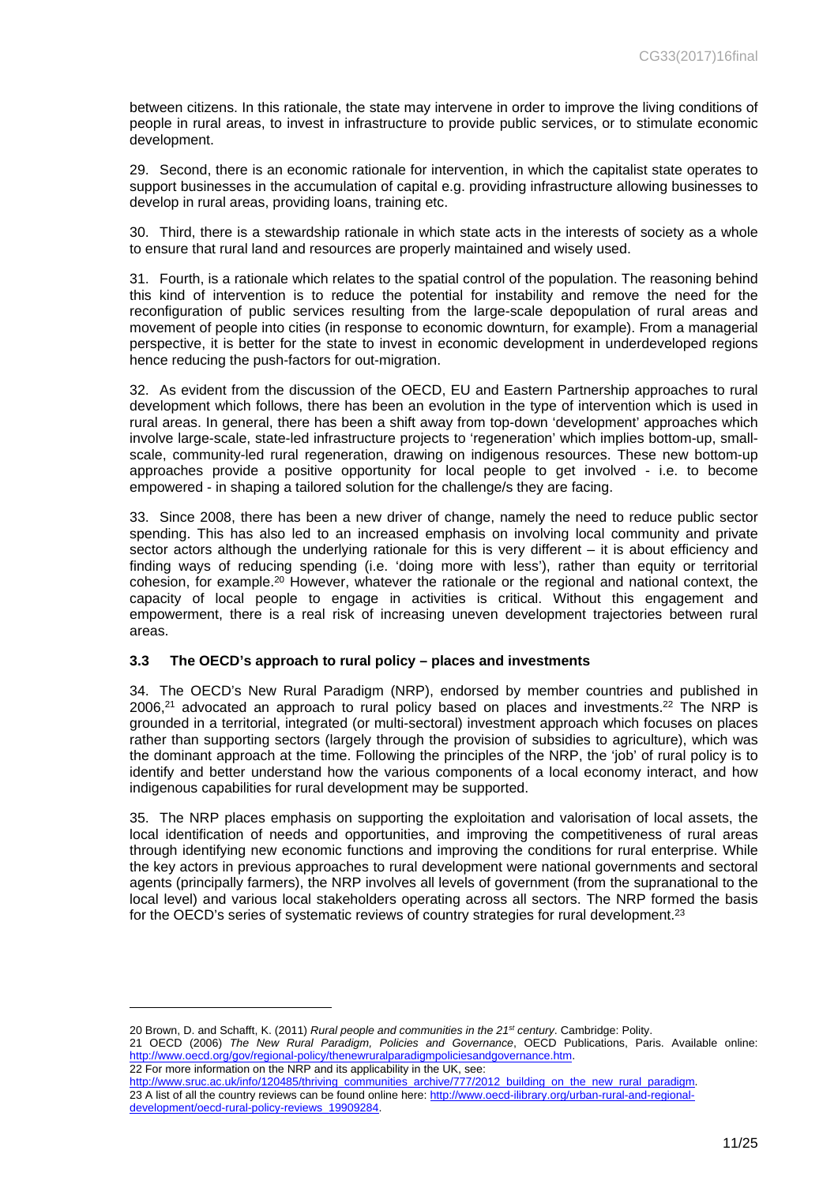between citizens. In this rationale, the state may intervene in order to improve the living conditions of people in rural areas, to invest in infrastructure to provide public services, or to stimulate economic development.

29. Second, there is an economic rationale for intervention, in which the capitalist state operates to support businesses in the accumulation of capital e.g. providing infrastructure allowing businesses to develop in rural areas, providing loans, training etc.

30. Third, there is a stewardship rationale in which state acts in the interests of society as a whole to ensure that rural land and resources are properly maintained and wisely used.

31. Fourth, is a rationale which relates to the spatial control of the population. The reasoning behind this kind of intervention is to reduce the potential for instability and remove the need for the reconfiguration of public services resulting from the large-scale depopulation of rural areas and movement of people into cities (in response to economic downturn, for example). From a managerial perspective, it is better for the state to invest in economic development in underdeveloped regions hence reducing the push-factors for out-migration.

32. As evident from the discussion of the OECD, EU and Eastern Partnership approaches to rural development which follows, there has been an evolution in the type of intervention which is used in rural areas. In general, there has been a shift away from top-down 'development' approaches which involve large-scale, state-led infrastructure projects to 'regeneration' which implies bottom-up, smallscale, community-led rural regeneration, drawing on indigenous resources. These new bottom-up approaches provide a positive opportunity for local people to get involved - i.e. to become empowered - in shaping a tailored solution for the challenge/s they are facing.

33. Since 2008, there has been a new driver of change, namely the need to reduce public sector spending. This has also led to an increased emphasis on involving local community and private sector actors although the underlying rationale for this is very different – it is about efficiency and finding ways of reducing spending (i.e. 'doing more with less'), rather than equity or territorial cohesion, for example.<sup>20</sup> However, whatever the rationale or the regional and national context, the capacity of local people to engage in activities is critical. Without this engagement and empowerment, there is a real risk of increasing uneven development trajectories between rural areas.

#### <span id="page-10-0"></span>**3.3 The OECD's approach to rural policy – places and investments**

34. The OECD's New Rural Paradigm (NRP), endorsed by member countries and published in  $2006<sup>21</sup>$  advocated an approach to rural policy based on places and investments.<sup>22</sup> The NRP is grounded in a territorial, integrated (or multi-sectoral) investment approach which focuses on places rather than supporting sectors (largely through the provision of subsidies to agriculture), which was the dominant approach at the time. Following the principles of the NRP, the 'job' of rural policy is to identify and better understand how the various components of a local economy interact, and how indigenous capabilities for rural development may be supported.

35. The NRP places emphasis on supporting the exploitation and valorisation of local assets, the local identification of needs and opportunities, and improving the competitiveness of rural areas through identifying new economic functions and improving the conditions for rural enterprise. While the key actors in previous approaches to rural development were national governments and sectoral agents (principally farmers), the NRP involves all levels of government (from the supranational to the local level) and various local stakeholders operating across all sectors. The NRP formed the basis for the OECD's series of systematic reviews of country strategies for rural development.<sup>23</sup>

<sup>20</sup> Brown, D. and Schafft, K. (2011) *Rural people and communities in the 21st century*. Cambridge: Polity.

<sup>21</sup> OECD (2006) *The New Rural Paradigm, Policies and Governance*, OECD Publications, Paris. Available online: [http://www.oecd.org/gov/regional-policy/thenewruralparadigmpoliciesandgovernance.htm.](http://www.oecd.org/gov/regional-policy/thenewruralparadigmpoliciesandgovernance.htm)

<sup>22</sup> For more information on the NRP and its applicability in the UK, see: [http://www.sruc.ac.uk/info/120485/thriving\\_communities\\_archive/777/2012\\_building\\_on\\_the\\_new\\_rural\\_paradigm.](http://www.sruc.ac.uk/info/120485/thriving_communities_archive/777/2012_building_on_the_new_rural_paradigm) 23 A list of all the country reviews can be found online here: [http://www.oecd-ilibrary.org/urban-rural-and-regional](http://www.oecd-ilibrary.org/urban-rural-and-regional-development/oecd-rural-policy-reviews_19909284)[development/oecd-rural-policy-reviews\\_19909284](http://www.oecd-ilibrary.org/urban-rural-and-regional-development/oecd-rural-policy-reviews_19909284).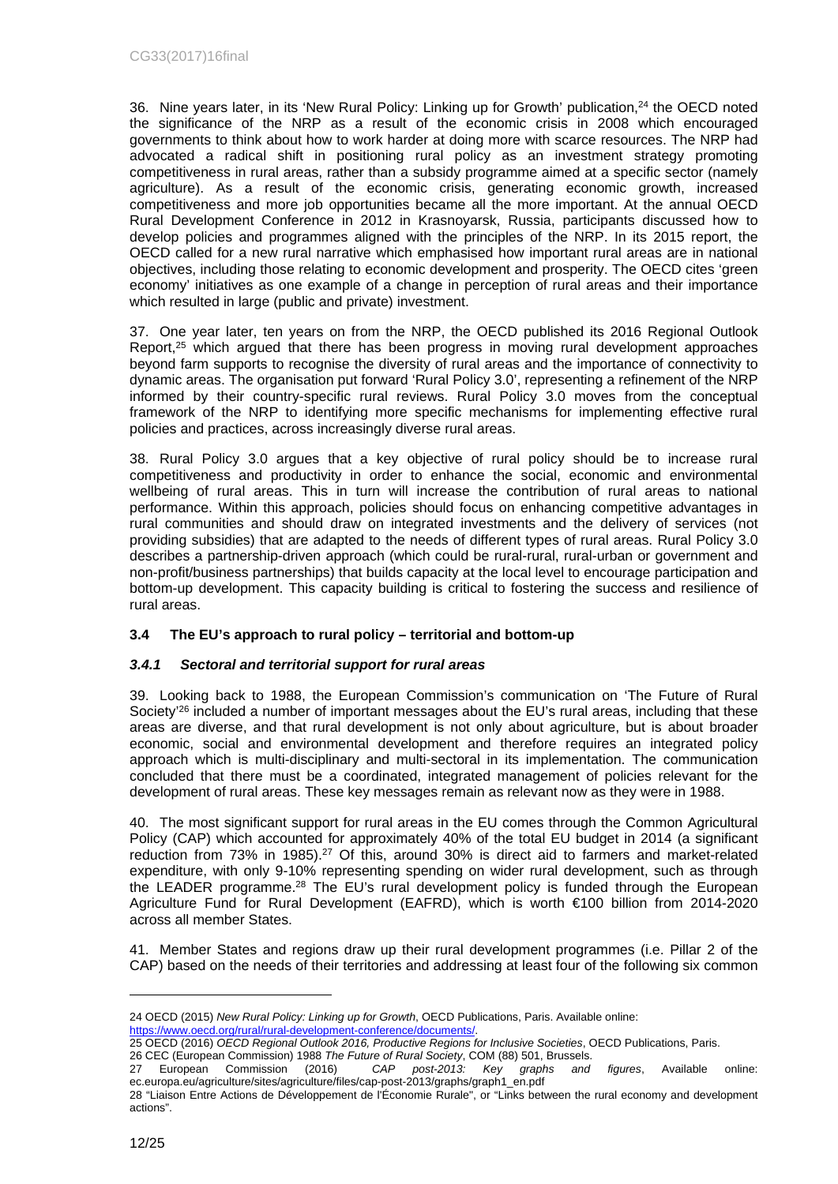36. Nine years later, in its 'New Rural Policy: Linking up for Growth' publication,<sup>24</sup> the OECD noted the significance of the NRP as a result of the economic crisis in 2008 which encouraged governments to think about how to work harder at doing more with scarce resources. The NRP had advocated a radical shift in positioning rural policy as an investment strategy promoting competitiveness in rural areas, rather than a subsidy programme aimed at a specific sector (namely agriculture). As a result of the economic crisis, generating economic growth, increased competitiveness and more job opportunities became all the more important. At the annual OECD Rural Development Conference in 2012 in Krasnoyarsk, Russia, participants discussed how to develop policies and programmes aligned with the principles of the NRP. In its 2015 report, the OECD called for a new rural narrative which emphasised how important rural areas are in national objectives, including those relating to economic development and prosperity. The OECD cites 'green economy' initiatives as one example of a change in perception of rural areas and their importance which resulted in large (public and private) investment.

37. One year later, ten years on from the NRP, the OECD published its 2016 Regional Outlook Report,<sup>25</sup> which argued that there has been progress in moving rural development approaches beyond farm supports to recognise the diversity of rural areas and the importance of connectivity to dynamic areas. The organisation put forward 'Rural Policy 3.0', representing a refinement of the NRP informed by their country-specific rural reviews. Rural Policy 3.0 moves from the conceptual framework of the NRP to identifying more specific mechanisms for implementing effective rural policies and practices, across increasingly diverse rural areas.

38. Rural Policy 3.0 argues that a key objective of rural policy should be to increase rural competitiveness and productivity in order to enhance the social, economic and environmental wellbeing of rural areas. This in turn will increase the contribution of rural areas to national performance. Within this approach, policies should focus on enhancing competitive advantages in rural communities and should draw on integrated investments and the delivery of services (not providing subsidies) that are adapted to the needs of different types of rural areas. Rural Policy 3.0 describes a partnership-driven approach (which could be rural-rural, rural-urban or government and non-profit/business partnerships) that builds capacity at the local level to encourage participation and bottom-up development. This capacity building is critical to fostering the success and resilience of rural areas.

## <span id="page-11-0"></span>**3.4 The EU's approach to rural policy – territorial and bottom-up**

## <span id="page-11-1"></span>*3.4.1 Sectoral and territorial support for rural areas*

39. Looking back to 1988, the European Commission's communication on 'The Future of Rural Society<sup>'26</sup> included a number of important messages about the EU's rural areas, including that these areas are diverse, and that rural development is not only about agriculture, but is about broader economic, social and environmental development and therefore requires an integrated policy approach which is multi-disciplinary and multi-sectoral in its implementation. The communication concluded that there must be a coordinated, integrated management of policies relevant for the development of rural areas. These key messages remain as relevant now as they were in 1988.

40. The most significant support for rural areas in the EU comes through the Common Agricultural Policy (CAP) which accounted for approximately 40% of the total EU budget in 2014 (a significant reduction from 73% in 1985).<sup>27</sup> Of this, around 30% is direct aid to farmers and market-related expenditure, with only 9-10% representing spending on wider rural development, such as through the LEADER programme.<sup>28</sup> The EU's rural development policy is funded through the European Agriculture Fund for Rural Development (EAFRD), which is worth €100 billion from 2014-2020 across all member States.

41. Member States and regions draw up their rural development programmes (i.e. Pillar 2 of the CAP) based on the needs of their territories and addressing at least four of the following six common

25 OECD (2016) *OECD Regional Outlook 2016, Productive Regions for Inclusive Societies*, OECD Publications, Paris.

<sup>24</sup> OECD (2015) *New Rural Policy: Linking up for Growth*, OECD Publications, Paris. Available online: [https://www.oecd.org/rural/rural-development-conference/documents/.](https://www.oecd.org/rural/rural-development-conference/documents/)

<sup>26</sup> CEC (European Commission) 1988 *The Future of Rural Society*, COM (88) 501, Brussels.

<sup>27</sup> European Commission (2016) *CAP post-2013: Key graphs and figures*, Available online: ec.europa.eu/agriculture/sites/agriculture/files/cap-post-2013/graphs/graph1\_en.pdf

<sup>28 &</sup>quot;Liaison Entre Actions de Développement de l'Économie Rurale", or "Links between the rural economy and development actions".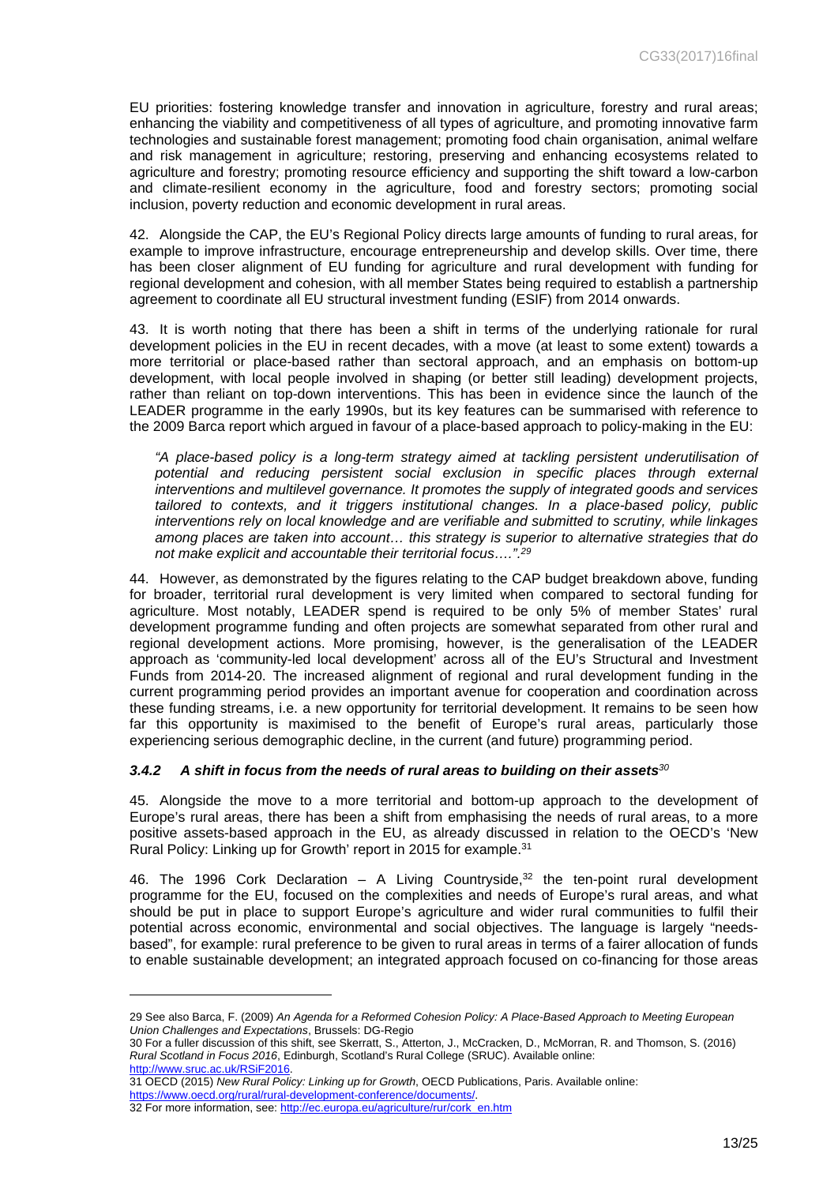EU priorities: fostering knowledge transfer and innovation in agriculture, forestry and rural areas; enhancing the viability and competitiveness of all types of agriculture, and promoting innovative farm technologies and sustainable forest management; promoting food chain organisation, animal welfare and risk management in agriculture; restoring, preserving and enhancing ecosystems related to agriculture and forestry; promoting resource efficiency and supporting the shift toward a low-carbon and climate-resilient economy in the agriculture, food and forestry sectors; promoting social inclusion, poverty reduction and economic development in rural areas.

42. Alongside the CAP, the EU's Regional Policy directs large amounts of funding to rural areas, for example to improve infrastructure, encourage entrepreneurship and develop skills. Over time, there has been closer alignment of EU funding for agriculture and rural development with funding for regional development and cohesion, with all member States being required to establish a partnership agreement to coordinate all EU structural investment funding (ESIF) from 2014 onwards.

43. It is worth noting that there has been a shift in terms of the underlying rationale for rural development policies in the EU in recent decades, with a move (at least to some extent) towards a more territorial or place-based rather than sectoral approach, and an emphasis on bottom-up development, with local people involved in shaping (or better still leading) development projects, rather than reliant on top-down interventions. This has been in evidence since the launch of the LEADER programme in the early 1990s, but its key features can be summarised with reference to the 2009 Barca report which argued in favour of a place-based approach to policy-making in the EU:

*"A place-based policy is a long-term strategy aimed at tackling persistent underutilisation of*  potential and reducing persistent social exclusion in specific places through external *interventions and multilevel governance. It promotes the supply of integrated goods and services tailored to contexts, and it triggers institutional changes. In a place-based policy, public interventions rely on local knowledge and are verifiable and submitted to scrutiny, while linkages among places are taken into account… this strategy is superior to alternative strategies that do not make explicit and accountable their territorial focus….".<sup>29</sup>*

44. However, as demonstrated by the figures relating to the CAP budget breakdown above, funding for broader, territorial rural development is very limited when compared to sectoral funding for agriculture. Most notably, LEADER spend is required to be only 5% of member States' rural development programme funding and often projects are somewhat separated from other rural and regional development actions. More promising, however, is the generalisation of the LEADER approach as 'community-led local development' across all of the EU's Structural and Investment Funds from 2014-20. The increased alignment of regional and rural development funding in the current programming period provides an important avenue for cooperation and coordination across these funding streams, i.e. a new opportunity for territorial development. It remains to be seen how far this opportunity is maximised to the benefit of Europe's rural areas, particularly those experiencing serious demographic decline, in the current (and future) programming period.

#### <span id="page-12-0"></span>*3.4.2 A shift in focus from the needs of rural areas to building on their assets<sup>30</sup>*

45. Alongside the move to a more territorial and bottom-up approach to the development of Europe's rural areas, there has been a shift from emphasising the needs of rural areas, to a more positive assets-based approach in the EU, as already discussed in relation to the OECD's 'New Rural Policy: Linking up for Growth' report in 2015 for example.<sup>31</sup>

46. The 1996 Cork Declaration  $-$  A Living Countryside, $32$  the ten-point rural development programme for the EU, focused on the complexities and needs of Europe's rural areas, and what should be put in place to support Europe's agriculture and wider rural communities to fulfil their potential across economic, environmental and social objectives. The language is largely "needsbased", for example: rural preference to be given to rural areas in terms of a fairer allocation of funds to enable sustainable development; an integrated approach focused on co-financing for those areas

30 For a fuller discussion of this shift, see Skerratt, S., Atterton, J., McCracken, D., McMorran, R. and Thomson, S. (2016) *Rural Scotland in Focus 2016*, Edinburgh, Scotland's Rural College (SRUC). Available online: [http://www.sruc.ac.uk/RSiF2016.](http://www.sruc.ac.uk/RSiF2016)

<sup>29</sup> See also Barca, F. (2009) *An Agenda for a Reformed Cohesion Policy: A Place-Based Approach to Meeting European Union Challenges and Expectations*, Brussels: DG-Regio

<sup>31</sup> OECD (2015) *New Rural Policy: Linking up for Growth*, OECD Publications, Paris. Available online: [https://www.oecd.org/rural/rural-development-conference/documents/.](https://www.oecd.org/rural/rural-development-conference/documents/)

<sup>32</sup> For more information, see: [http://ec.europa.eu/agriculture/rur/cork\\_en.htm](http://ec.europa.eu/agriculture/rur/cork_en.htm)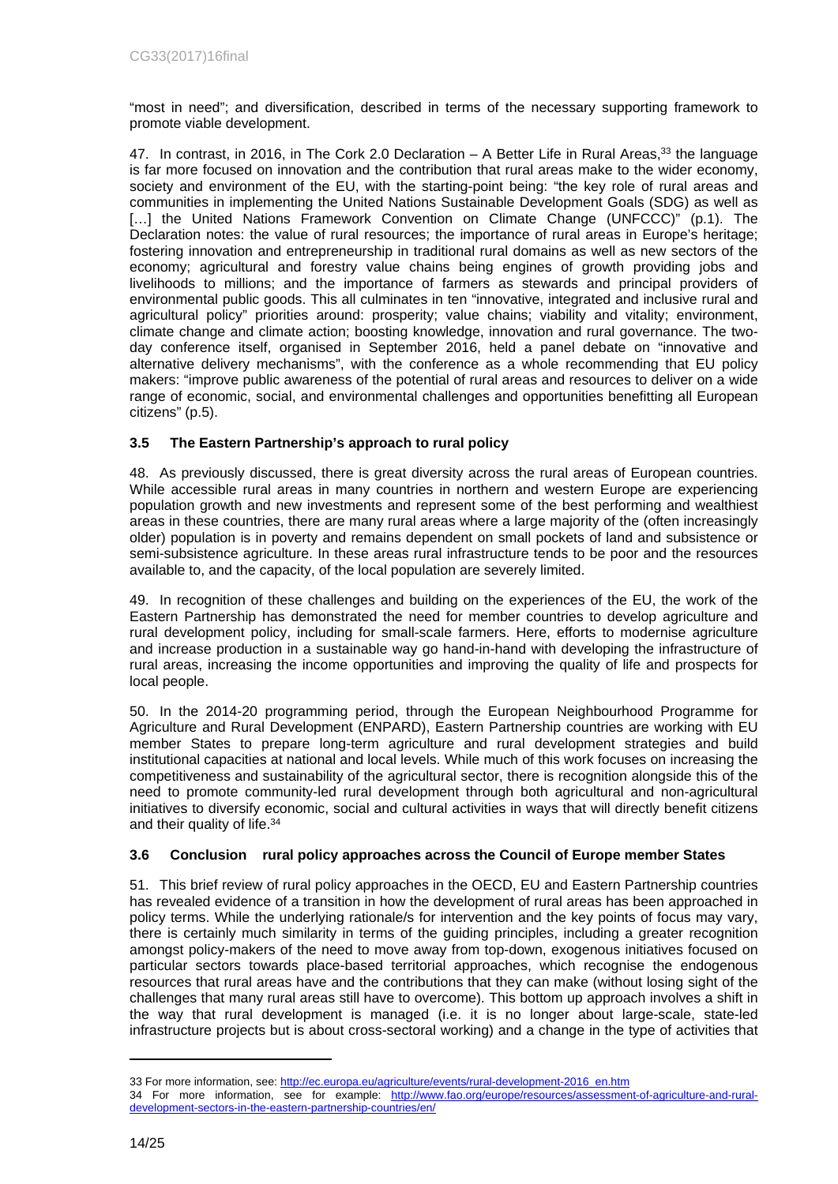"most in need"; and diversification, described in terms of the necessary supporting framework to promote viable development.

47. In contrast, in 2016, in The Cork 2.0 Declaration – A Better Life in Rural Areas,<sup>33</sup> the language is far more focused on innovation and the contribution that rural areas make to the wider economy, society and environment of the EU, with the starting-point being: "the key role of rural areas and communities in implementing the United Nations Sustainable Development Goals (SDG) as well as [...] the United Nations Framework Convention on Climate Change (UNFCCC)" (p.1). The Declaration notes: the value of rural resources; the importance of rural areas in Europe's heritage; fostering innovation and entrepreneurship in traditional rural domains as well as new sectors of the economy; agricultural and forestry value chains being engines of growth providing jobs and livelihoods to millions; and the importance of farmers as stewards and principal providers of environmental public goods. This all culminates in ten "innovative, integrated and inclusive rural and agricultural policy" priorities around: prosperity; value chains; viability and vitality; environment, climate change and climate action; boosting knowledge, innovation and rural governance. The twoday conference itself, organised in September 2016, held a panel debate on "innovative and alternative delivery mechanisms", with the conference as a whole recommending that EU policy makers: "improve public awareness of the potential of rural areas and resources to deliver on a wide range of economic, social, and environmental challenges and opportunities benefitting all European citizens" (p.5).

## <span id="page-13-0"></span>**3.5 The Eastern Partnership's approach to rural policy**

48. As previously discussed, there is great diversity across the rural areas of European countries. While accessible rural areas in many countries in northern and western Europe are experiencing population growth and new investments and represent some of the best performing and wealthiest areas in these countries, there are many rural areas where a large majority of the (often increasingly older) population is in poverty and remains dependent on small pockets of land and subsistence or semi-subsistence agriculture. In these areas rural infrastructure tends to be poor and the resources available to, and the capacity, of the local population are severely limited.

49. In recognition of these challenges and building on the experiences of the EU, the work of the Eastern Partnership has demonstrated the need for member countries to develop agriculture and rural development policy, including for small-scale farmers. Here, efforts to modernise agriculture and increase production in a sustainable way go hand-in-hand with developing the infrastructure of rural areas, increasing the income opportunities and improving the quality of life and prospects for local people.

50. In the 2014-20 programming period, through the European Neighbourhood Programme for Agriculture and Rural Development (ENPARD), Eastern Partnership countries are working with EU member States to prepare long-term agriculture and rural development strategies and build institutional capacities at national and local levels. While much of this work focuses on increasing the competitiveness and sustainability of the agricultural sector, there is recognition alongside this of the need to promote community-led rural development through both agricultural and non-agricultural initiatives to diversify economic, social and cultural activities in ways that will directly benefit citizens and their quality of life.<sup>34</sup>

## <span id="page-13-1"></span>**3.6 Conclusion rural policy approaches across the Council of Europe member States**

51. This brief review of rural policy approaches in the OECD, EU and Eastern Partnership countries has revealed evidence of a transition in how the development of rural areas has been approached in policy terms. While the underlying rationale/s for intervention and the key points of focus may vary, there is certainly much similarity in terms of the guiding principles, including a greater recognition amongst policy-makers of the need to move away from top-down, exogenous initiatives focused on particular sectors towards place-based territorial approaches, which recognise the endogenous resources that rural areas have and the contributions that they can make (without losing sight of the challenges that many rural areas still have to overcome). This bottom up approach involves a shift in the way that rural development is managed (i.e. it is no longer about large-scale, state-led infrastructure projects but is about cross-sectoral working) and a change in the type of activities that

<sup>33</sup> For more information, see: [http://ec.europa.eu/agriculture/events/rural-development-2016\\_en.htm](http://ec.europa.eu/agriculture/events/rural-development-2016_en.htm)

<sup>34</sup> For more information, see for example: [http://www.fao.org/europe/resources/assessment-of-agriculture-and-rural](http://www.fao.org/europe/resources/assessment-of-agriculture-and-rural-development-sectors-in-the-eastern-partnership-countries/en/)[development-sectors-in-the-eastern-partnership-countries/en/](http://www.fao.org/europe/resources/assessment-of-agriculture-and-rural-development-sectors-in-the-eastern-partnership-countries/en/)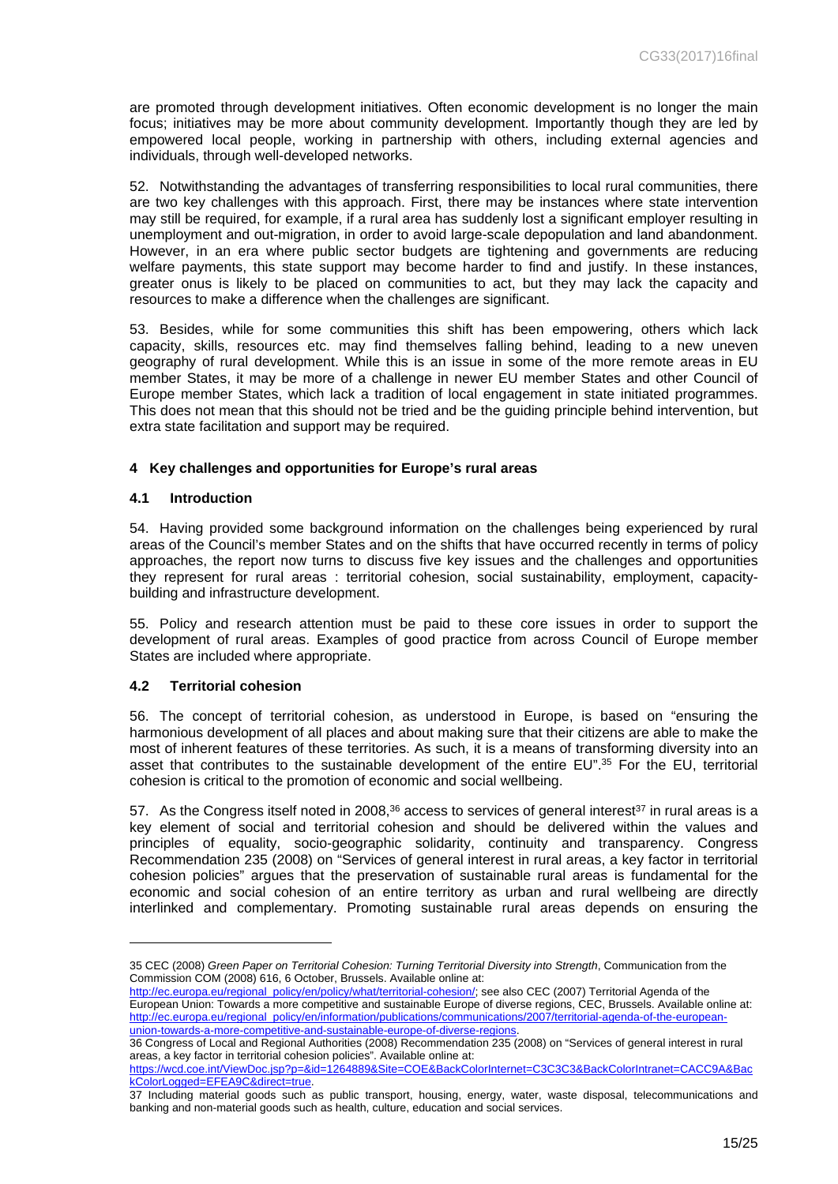are promoted through development initiatives. Often economic development is no longer the main focus; initiatives may be more about community development. Importantly though they are led by empowered local people, working in partnership with others, including external agencies and individuals, through well-developed networks.

52. Notwithstanding the advantages of transferring responsibilities to local rural communities, there are two key challenges with this approach. First, there may be instances where state intervention may still be required, for example, if a rural area has suddenly lost a significant employer resulting in unemployment and out-migration, in order to avoid large-scale depopulation and land abandonment. However, in an era where public sector budgets are tightening and governments are reducing welfare payments, this state support may become harder to find and justify. In these instances, greater onus is likely to be placed on communities to act, but they may lack the capacity and resources to make a difference when the challenges are significant.

53. Besides, while for some communities this shift has been empowering, others which lack capacity, skills, resources etc. may find themselves falling behind, leading to a new uneven geography of rural development. While this is an issue in some of the more remote areas in EU member States, it may be more of a challenge in newer EU member States and other Council of Europe member States, which lack a tradition of local engagement in state initiated programmes. This does not mean that this should not be tried and be the guiding principle behind intervention, but extra state facilitation and support may be required.

## <span id="page-14-0"></span>**4 Key challenges and opportunities for Europe's rural areas**

## <span id="page-14-1"></span>**4.1 Introduction**

54. Having provided some background information on the challenges being experienced by rural areas of the Council's member States and on the shifts that have occurred recently in terms of policy approaches, the report now turns to discuss five key issues and the challenges and opportunities they represent for rural areas : territorial cohesion, social sustainability, employment, capacitybuilding and infrastructure development.

55. Policy and research attention must be paid to these core issues in order to support the development of rural areas. Examples of good practice from across Council of Europe member States are included where appropriate.

#### <span id="page-14-2"></span>**4.2 Territorial cohesion**

56. The concept of territorial cohesion, as understood in Europe, is based on "ensuring the harmonious development of all places and about making sure that their citizens are able to make the most of inherent features of these territories. As such, it is a means of transforming diversity into an asset that contributes to the sustainable development of the entire EU".<sup>35</sup> For the EU, territorial cohesion is critical to the promotion of economic and social wellbeing.

57. As the Congress itself noted in 2008, $36$  access to services of general interest<sup>37</sup> in rural areas is a key element of social and territorial cohesion and should be delivered within the values and principles of equality, socio-geographic solidarity, continuity and transparency. Congress Recommendation 235 (2008) on "Services of general interest in rural areas, a key factor in territorial cohesion policies" argues that the preservation of sustainable rural areas is fundamental for the economic and social cohesion of an entire territory as urban and rural wellbeing are directly interlinked and complementary. Promoting sustainable rural areas depends on ensuring the

<sup>35</sup> CEC (2008) *Green Paper on Territorial Cohesion: Turning Territorial Diversity into Strength*, Communication from the Commission COM (2008) 616, 6 October, Brussels. Available online at:

[http://ec.europa.eu/regional\\_policy/en/policy/what/territorial-cohesion/;](http://ec.europa.eu/regional_policy/en/policy/what/territorial-cohesion/) see also CEC (2007) Territorial Agenda of the European Union: Towards a more competitive and sustainable Europe of diverse regions, CEC, Brussels. Available online at: [http://ec.europa.eu/regional\\_policy/en/information/publications/communications/2007/territorial-agenda-of-the-european](http://ec.europa.eu/regional_policy/en/information/publications/communications/2007/territorial-agenda-of-the-european-union-towards-a-more-competitive-and-sustainable-europe-of-diverse-regions)[union-towards-a-more-competitive-and-sustainable-europe-of-diverse-regions.](http://ec.europa.eu/regional_policy/en/information/publications/communications/2007/territorial-agenda-of-the-european-union-towards-a-more-competitive-and-sustainable-europe-of-diverse-regions)

<sup>36</sup> Congress of Local and Regional Authorities (2008) Recommendation 235 (2008) on "Services of general interest in rural areas, a key factor in territorial cohesion policies". Available online at:

[https://wcd.coe.int/ViewDoc.jsp?p=&id=1264889&Site=COE&BackColorInternet=C3C3C3&BackColorIntranet=CACC9A&Bac](https://wcd.coe.int/ViewDoc.jsp?p=&id=1264889&Site=COE&BackColorInternet=C3C3C3&BackColorIntranet=CACC9A&BackColorLogged=EFEA9C&direct=true) [kColorLogged=EFEA9C&direct=true](https://wcd.coe.int/ViewDoc.jsp?p=&id=1264889&Site=COE&BackColorInternet=C3C3C3&BackColorIntranet=CACC9A&BackColorLogged=EFEA9C&direct=true).

<sup>37</sup> Including material goods such as public transport, housing, energy, water, waste disposal, telecommunications and banking and non-material goods such as health, culture, education and social services.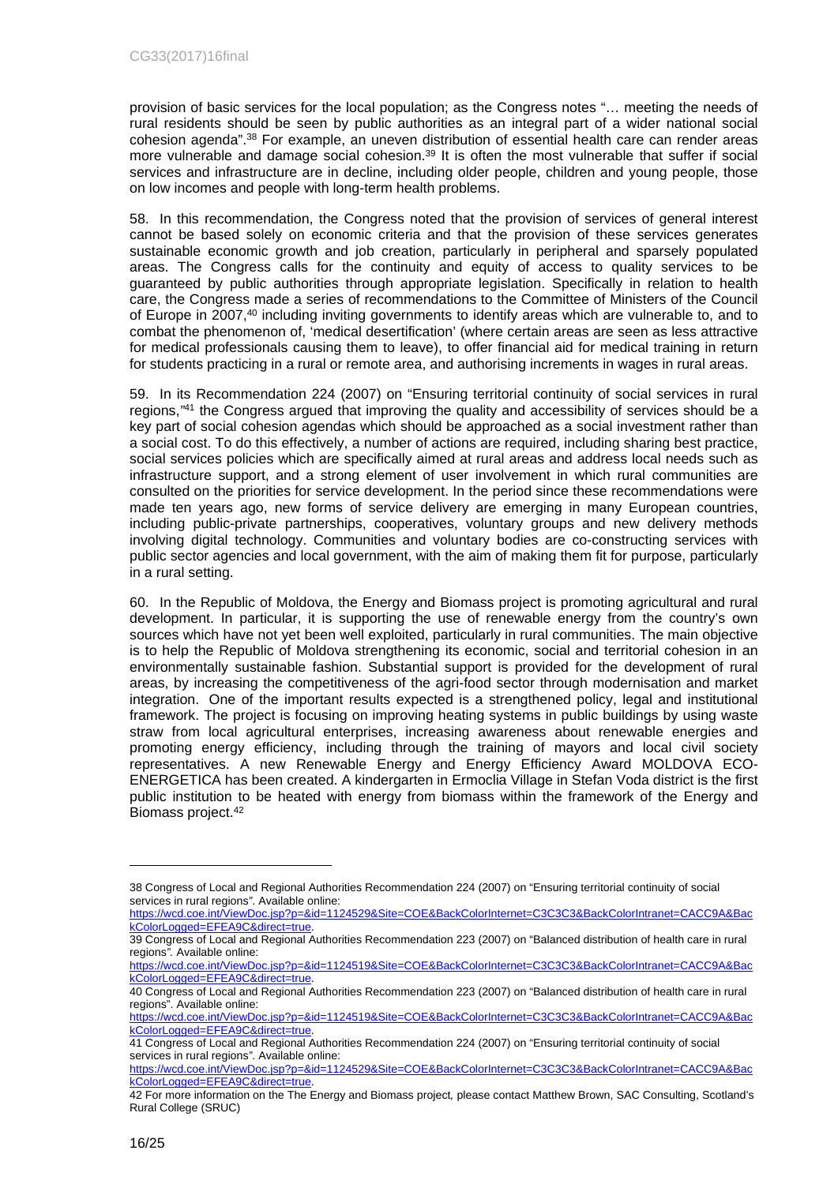provision of basic services for the local population; as the Congress notes "… meeting the needs of rural residents should be seen by public authorities as an integral part of a wider national social cohesion agenda".<sup>38</sup> For example, an uneven distribution of essential health care can render areas more vulnerable and damage social cohesion.<sup>39</sup> It is often the most vulnerable that suffer if social services and infrastructure are in decline, including older people, children and young people, those on low incomes and people with long-term health problems.

58. In this recommendation, the Congress noted that the provision of services of general interest cannot be based solely on economic criteria and that the provision of these services generates sustainable economic growth and job creation, particularly in peripheral and sparsely populated areas. The Congress calls for the continuity and equity of access to quality services to be guaranteed by public authorities through appropriate legislation. Specifically in relation to health care, the Congress made a series of recommendations to the Committee of Ministers of the Council of Europe in 2007,<sup>40</sup> including inviting governments to identify areas which are vulnerable to, and to combat the phenomenon of, 'medical desertification' (where certain areas are seen as less attractive for medical professionals causing them to leave), to offer financial aid for medical training in return for students practicing in a rural or remote area, and authorising increments in wages in rural areas.

59. In its Recommendation 224 (2007) on "Ensuring territorial continuity of social services in rural regions,*"* <sup>41</sup> the Congress argued that improving the quality and accessibility of services should be a key part of social cohesion agendas which should be approached as a social investment rather than a social cost. To do this effectively, a number of actions are required, including sharing best practice, social services policies which are specifically aimed at rural areas and address local needs such as infrastructure support, and a strong element of user involvement in which rural communities are consulted on the priorities for service development. In the period since these recommendations were made ten years ago, new forms of service delivery are emerging in many European countries, including public-private partnerships, cooperatives, voluntary groups and new delivery methods involving digital technology. Communities and voluntary bodies are co-constructing services with public sector agencies and local government, with the aim of making them fit for purpose, particularly in a rural setting.

60. In the Republic of Moldova, the Energy and Biomass project is promoting agricultural and rural development. In particular, it is supporting the use of renewable energy from the country's own sources which have not yet been well exploited, particularly in rural communities. The main objective is to help the Republic of Moldova strengthening its economic, social and territorial cohesion in an environmentally sustainable fashion. Substantial support is provided for the development of rural areas, by increasing the competitiveness of the agri-food sector through modernisation and market integration. One of the important results expected is a strengthened policy, legal and institutional framework. The project is focusing on improving heating systems in public buildings by using waste straw from local agricultural enterprises, increasing awareness about renewable energies and promoting energy efficiency, including through the training of mayors and local civil society representatives. A new Renewable Energy and Energy Efficiency Award MOLDOVA ECO-ENERGETICA has been created. A kindergarten in Ermoclia Village in Stefan Voda district is the first public institution to be heated with energy from biomass within the framework of the Energy and Biomass project.<sup>42</sup>

<sup>38</sup> Congress of Local and Regional Authorities Recommendation 224 (2007) on "Ensuring territorial continuity of social services in rural regions*"*. Available online:

[https://wcd.coe.int/ViewDoc.jsp?p=&id=1124529&Site=COE&BackColorInternet=C3C3C3&BackColorIntranet=CACC9A&Bac](https://wcd.coe.int/ViewDoc.jsp?p=&id=1124529&Site=COE&BackColorInternet=C3C3C3&BackColorIntranet=CACC9A&BackColorLogged=EFEA9C&direct=true) [kColorLogged=EFEA9C&direct=true](https://wcd.coe.int/ViewDoc.jsp?p=&id=1124529&Site=COE&BackColorInternet=C3C3C3&BackColorIntranet=CACC9A&BackColorLogged=EFEA9C&direct=true).

<sup>39</sup> Congress of Local and Regional Authorities Recommendation 223 (2007) on "Balanced distribution of health care in rural regions*".* Available online:

[https://wcd.coe.int/ViewDoc.jsp?p=&id=1124519&Site=COE&BackColorInternet=C3C3C3&BackColorIntranet=CACC9A&Bac](https://wcd.coe.int/ViewDoc.jsp?p=&id=1124519&Site=COE&BackColorInternet=C3C3C3&BackColorIntranet=CACC9A&BackColorLogged=EFEA9C&direct=true) [kColorLogged=EFEA9C&direct=true](https://wcd.coe.int/ViewDoc.jsp?p=&id=1124519&Site=COE&BackColorInternet=C3C3C3&BackColorIntranet=CACC9A&BackColorLogged=EFEA9C&direct=true).

<sup>40</sup> Congress of Local and Regional Authorities Recommendation 223 (2007) on "Balanced distribution of health care in rural regions". Available online:

[https://wcd.coe.int/ViewDoc.jsp?p=&id=1124519&Site=COE&BackColorInternet=C3C3C3&BackColorIntranet=CACC9A&Bac](https://wcd.coe.int/ViewDoc.jsp?p=&id=1124519&Site=COE&BackColorInternet=C3C3C3&BackColorIntranet=CACC9A&BackColorLogged=EFEA9C&direct=true) [kColorLogged=EFEA9C&direct=true](https://wcd.coe.int/ViewDoc.jsp?p=&id=1124519&Site=COE&BackColorInternet=C3C3C3&BackColorIntranet=CACC9A&BackColorLogged=EFEA9C&direct=true).

<sup>41</sup> Congress of Local and Regional Authorities Recommendation 224 (2007) on "Ensuring territorial continuity of social services in rural regions*"*. Available online:

[https://wcd.coe.int/ViewDoc.jsp?p=&id=1124529&Site=COE&BackColorInternet=C3C3C3&BackColorIntranet=CACC9A&Bac](https://wcd.coe.int/ViewDoc.jsp?p=&id=1124529&Site=COE&BackColorInternet=C3C3C3&BackColorIntranet=CACC9A&BackColorLogged=EFEA9C&direct=true) [kColorLogged=EFEA9C&direct=true](https://wcd.coe.int/ViewDoc.jsp?p=&id=1124529&Site=COE&BackColorInternet=C3C3C3&BackColorIntranet=CACC9A&BackColorLogged=EFEA9C&direct=true).

<sup>42</sup> For more information on the The Energy and Biomass project*,* please contact Matthew Brown, SAC Consulting, Scotland's Rural College (SRUC)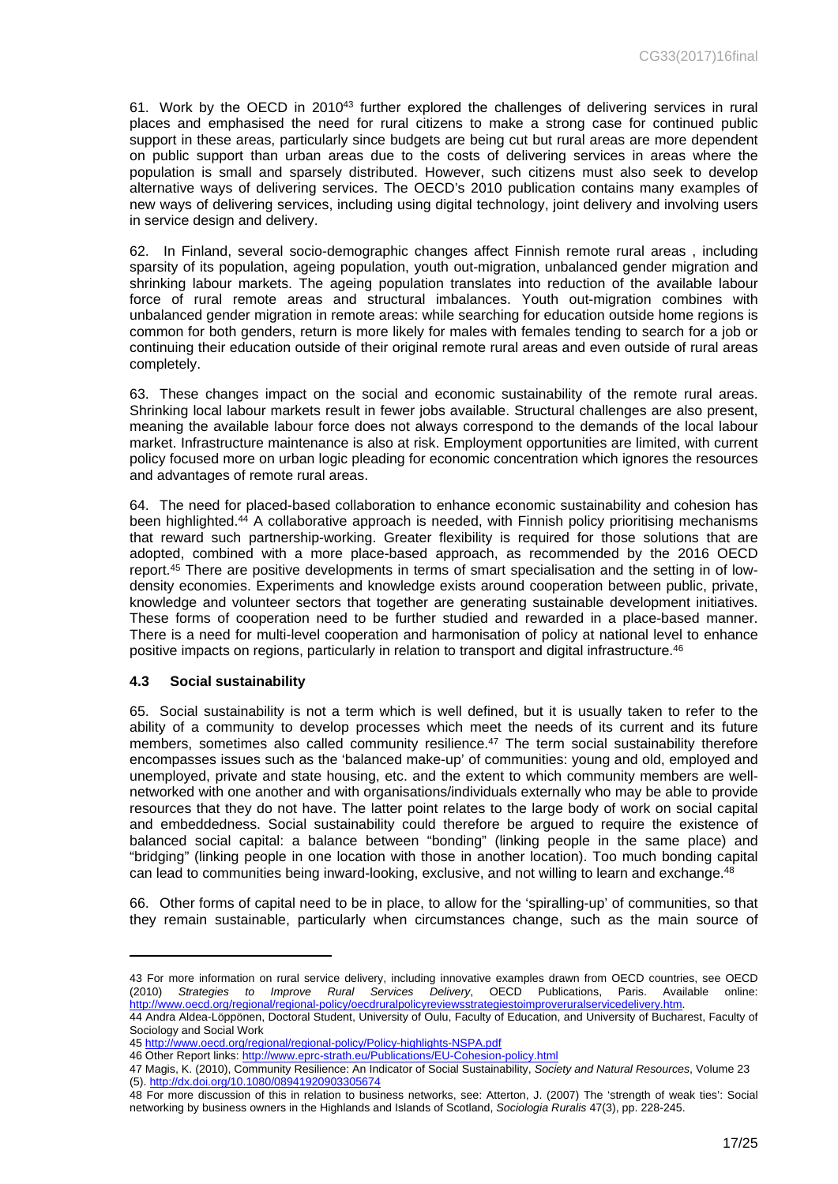61. Work by the OECD in 2010<sup>43</sup> further explored the challenges of delivering services in rural places and emphasised the need for rural citizens to make a strong case for continued public support in these areas, particularly since budgets are being cut but rural areas are more dependent on public support than urban areas due to the costs of delivering services in areas where the population is small and sparsely distributed. However, such citizens must also seek to develop alternative ways of delivering services. The OECD's 2010 publication contains many examples of new ways of delivering services, including using digital technology, joint delivery and involving users in service design and delivery.

62. In Finland, several socio-demographic changes affect Finnish remote rural areas , including sparsity of its population, ageing population, youth out-migration, unbalanced gender migration and shrinking labour markets. The ageing population translates into reduction of the available labour force of rural remote areas and structural imbalances. Youth out-migration combines with unbalanced gender migration in remote areas: while searching for education outside home regions is common for both genders, return is more likely for males with females tending to search for a job or continuing their education outside of their original remote rural areas and even outside of rural areas completely.

63. These changes impact on the social and economic sustainability of the remote rural areas. Shrinking local labour markets result in fewer jobs available. Structural challenges are also present, meaning the available labour force does not always correspond to the demands of the local labour market. Infrastructure maintenance is also at risk. Employment opportunities are limited, with current policy focused more on urban logic pleading for economic concentration which ignores the resources and advantages of remote rural areas.

64. The need for placed-based collaboration to enhance economic sustainability and cohesion has been highlighted.<sup>44</sup> A collaborative approach is needed, with Finnish policy prioritising mechanisms that reward such partnership-working. Greater flexibility is required for those solutions that are adopted, combined with a more place-based approach, as recommended by the 2016 OECD report.45 There are positive developments in terms of smart specialisation and the setting in of lowdensity economies. Experiments and knowledge exists around cooperation between public, private, knowledge and volunteer sectors that together are generating sustainable development initiatives. These forms of cooperation need to be further studied and rewarded in a place-based manner. There is a need for multi-level cooperation and harmonisation of policy at national level to enhance positive impacts on regions, particularly in relation to transport and digital infrastructure.<sup>46</sup>

#### <span id="page-16-0"></span>**4.3 Social sustainability**

65. Social sustainability is not a term which is well defined, but it is usually taken to refer to the ability of a community to develop processes which meet the needs of its current and its future members, sometimes also called community resilience.<sup>47</sup> The term social sustainability therefore encompasses issues such as the 'balanced make-up' of communities: young and old, employed and unemployed, private and state housing, etc. and the extent to which community members are wellnetworked with one another and with organisations/individuals externally who may be able to provide resources that they do not have. The latter point relates to the large body of work on social capital and embeddedness. Social sustainability could therefore be argued to require the existence of balanced social capital: a balance between "bonding" (linking people in the same place) and "bridging" (linking people in one location with those in another location). Too much bonding capital can lead to communities being inward-looking, exclusive, and not willing to learn and exchange.<sup>48</sup>

66. Other forms of capital need to be in place, to allow for the 'spiralling-up' of communities, so that they remain sustainable, particularly when circumstances change, such as the main source of

<sup>43</sup> For more information on rural service delivery, including innovative examples drawn from OECD countries, see OECD (2010) *Strategies to Improve Rural Services Delivery*, OECD Publications, Paris. Available online: [http://www.oecd.org/regional/regional-policy/oecdruralpolicyreviewsstrategiestoimproveruralservicedelivery.htm.](http://www.oecd.org/regional/regional-policy/oecdruralpolicyreviewsstrategiestoimproveruralservicedelivery.htm)

<sup>44</sup> Andra Aldea-Löppönen, Doctoral Student, University of Oulu, Faculty of Education, and University of Bucharest, Faculty of Sociology and Social Work

<sup>45</sup><http://www.oecd.org/regional/regional-policy/Policy-highlights-NSPA.pdf>

<sup>46</sup> Other Report links:<http://www.eprc-strath.eu/Publications/EU-Cohesion-policy.html>

<sup>47</sup> Magis, K. (2010), Community Resilience: An Indicator of Social Sustainability, *Society and Natural Resources*, Volume 23 (5).<http://dx.doi.org/10.1080/08941920903305674>

<sup>48</sup> For more discussion of this in relation to business networks, see: Atterton, J. (2007) The 'strength of weak ties': Social networking by business owners in the Highlands and Islands of Scotland, *Sociologia Ruralis* 47(3), pp. 228-245.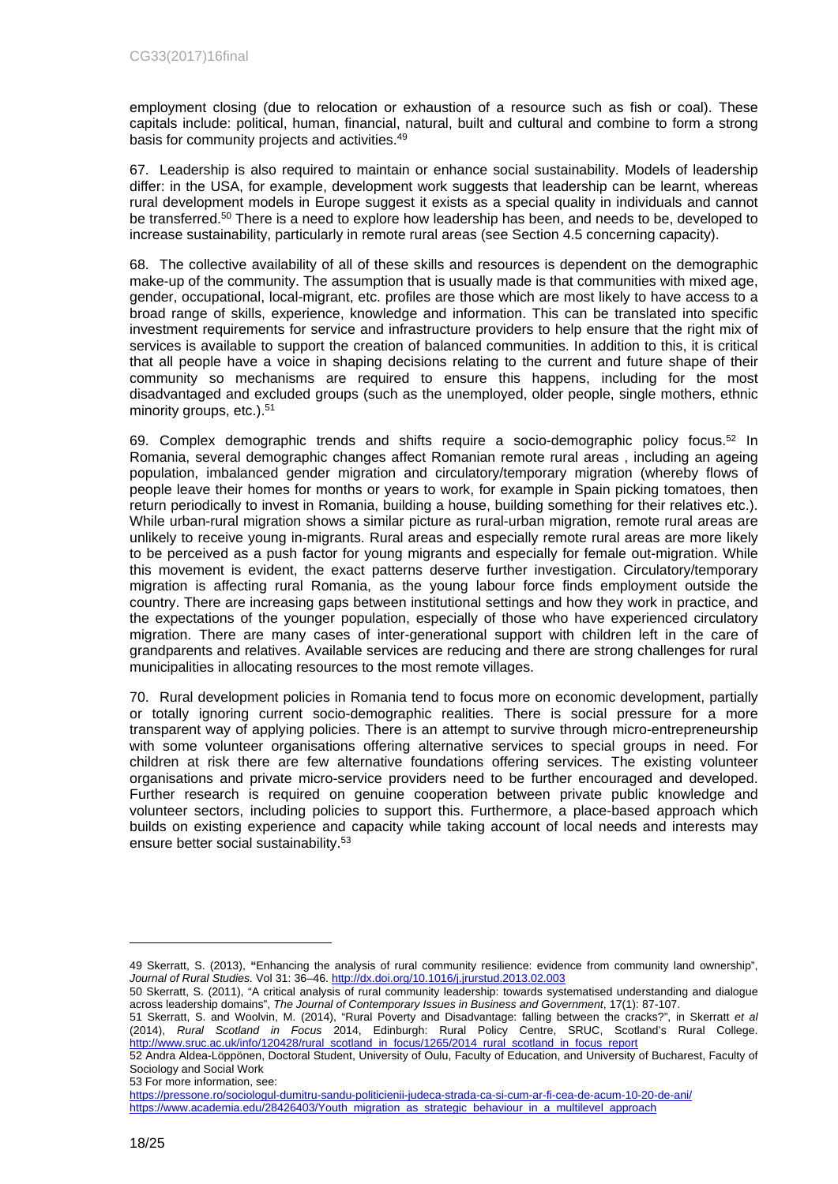employment closing (due to relocation or exhaustion of a resource such as fish or coal). These capitals include: political, human, financial, natural, built and cultural and combine to form a strong basis for community projects and activities.<sup>49</sup>

67. Leadership is also required to maintain or enhance social sustainability. Models of leadership differ: in the USA, for example, development work suggests that leadership can be learnt, whereas rural development models in Europe suggest it exists as a special quality in individuals and cannot be transferred.<sup>50</sup> There is a need to explore how leadership has been, and needs to be, developed to increase sustainability, particularly in remote rural areas (see Section 4.5 concerning capacity).

68. The collective availability of all of these skills and resources is dependent on the demographic make-up of the community. The assumption that is usually made is that communities with mixed age, gender, occupational, local-migrant, etc. profiles are those which are most likely to have access to a broad range of skills, experience, knowledge and information. This can be translated into specific investment requirements for service and infrastructure providers to help ensure that the right mix of services is available to support the creation of balanced communities. In addition to this, it is critical that all people have a voice in shaping decisions relating to the current and future shape of their community so mechanisms are required to ensure this happens, including for the most disadvantaged and excluded groups (such as the unemployed, older people, single mothers, ethnic minority groups, etc.).<sup>51</sup>

69. Complex demographic trends and shifts require a socio-demographic policy focus.<sup>52</sup> In Romania, several demographic changes affect Romanian remote rural areas , including an ageing population, imbalanced gender migration and circulatory/temporary migration (whereby flows of people leave their homes for months or years to work, for example in Spain picking tomatoes, then return periodically to invest in Romania, building a house, building something for their relatives etc.). While urban-rural migration shows a similar picture as rural-urban migration, remote rural areas are unlikely to receive young in-migrants. Rural areas and especially remote rural areas are more likely to be perceived as a push factor for young migrants and especially for female out-migration. While this movement is evident, the exact patterns deserve further investigation. Circulatory/temporary migration is affecting rural Romania, as the young labour force finds employment outside the country. There are increasing gaps between institutional settings and how they work in practice, and the expectations of the younger population, especially of those who have experienced circulatory migration. There are many cases of inter-generational support with children left in the care of grandparents and relatives. Available services are reducing and there are strong challenges for rural municipalities in allocating resources to the most remote villages.

70. Rural development policies in Romania tend to focus more on economic development, partially or totally ignoring current socio-demographic realities. There is social pressure for a more transparent way of applying policies. There is an attempt to survive through micro-entrepreneurship with some volunteer organisations offering alternative services to special groups in need. For children at risk there are few alternative foundations offering services. The existing volunteer organisations and private micro-service providers need to be further encouraged and developed. Further research is required on genuine cooperation between private public knowledge and volunteer sectors, including policies to support this. Furthermore, a place-based approach which builds on existing experience and capacity while taking account of local needs and interests may ensure better social sustainability.<sup>53</sup>

53 For more information, see:

<sup>49</sup> Skerratt, S. (2013), **"**Enhancing the analysis of rural community resilience: evidence from community land ownership", *Journal of Rural Studies.* Vol 31: 36–46. <http://dx.doi.org/10.1016/j.jrurstud.2013.02.003>

<sup>50</sup> Skerratt, S. (2011), "A critical analysis of rural community leadership: towards systematised understanding and dialogue across leadership domains", *The Journal of Contemporary Issues in Business and Government*, 17(1): 87-107.

<sup>51</sup> Skerratt, S. and Woolvin, M. (2014), "Rural Poverty and Disadvantage: falling between the cracks?", in Skerratt *et al*  (2014), *Rural Scotland in Focus* 2014, Edinburgh: Rural Policy Centre, SRUC, Scotland's Rural College. [http://www.sruc.ac.uk/info/120428/rural\\_scotland\\_in\\_focus/1265/2014\\_rural\\_scotland\\_in\\_focus\\_report](http://www.sruc.ac.uk/info/120428/rural_scotland_in_focus/1265/2014_rural_scotland_in_focus_report)

<sup>52</sup> Andra Aldea-Löppönen, Doctoral Student, University of Oulu, Faculty of Education, and University of Bucharest, Faculty of Sociology and Social Work

<https://pressone.ro/sociologul-dumitru-sandu-politicienii-judeca-strada-ca-si-cum-ar-fi-cea-de-acum-10-20-de-ani/> [https://www.academia.edu/28426403/Youth\\_migration\\_as\\_strategic\\_behaviour\\_in\\_a\\_multilevel\\_approach](https://www.academia.edu/28426403/Youth_migration_as_strategic_behaviour_in_a_multilevel_approach)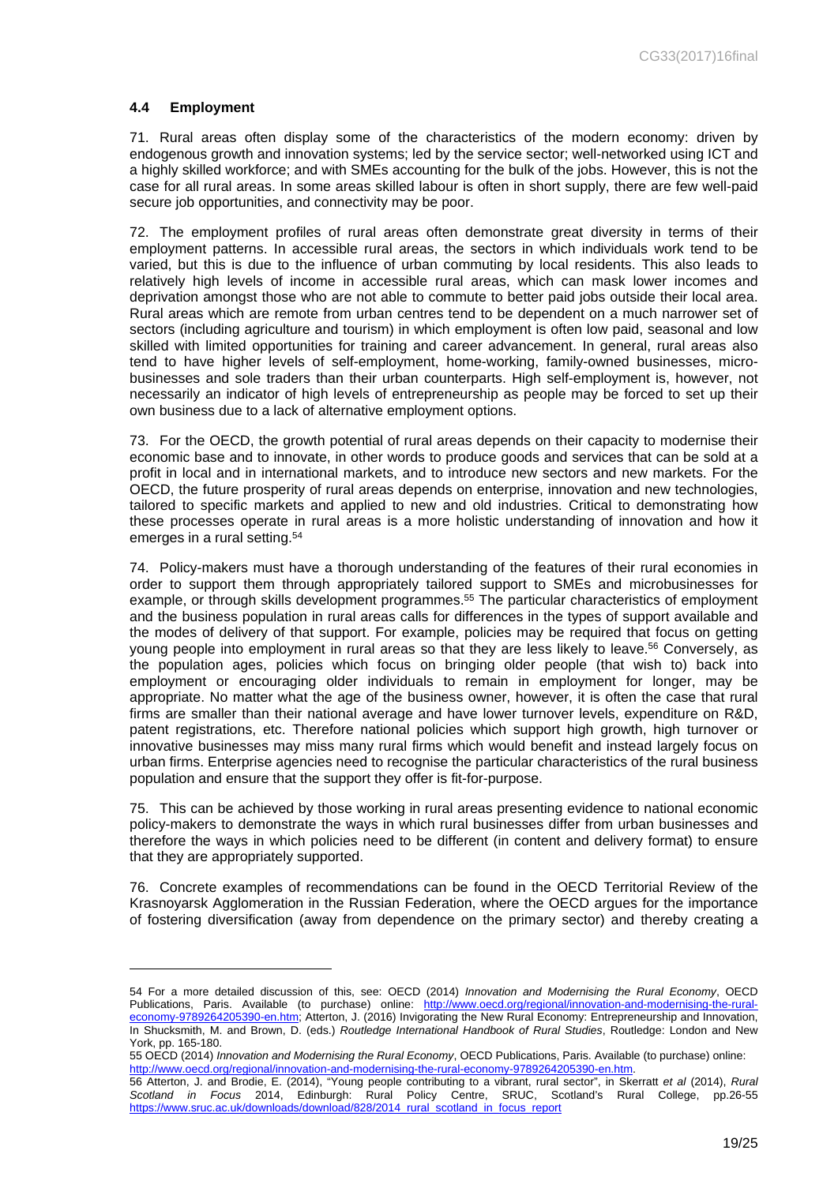## <span id="page-18-0"></span>**4.4 Employment**

71. Rural areas often display some of the characteristics of the modern economy: driven by endogenous growth and innovation systems; led by the service sector; well-networked using ICT and a highly skilled workforce; and with SMEs accounting for the bulk of the jobs. However, this is not the case for all rural areas. In some areas skilled labour is often in short supply, there are few well-paid secure job opportunities, and connectivity may be poor.

72. The employment profiles of rural areas often demonstrate great diversity in terms of their employment patterns. In accessible rural areas, the sectors in which individuals work tend to be varied, but this is due to the influence of urban commuting by local residents. This also leads to relatively high levels of income in accessible rural areas, which can mask lower incomes and deprivation amongst those who are not able to commute to better paid jobs outside their local area. Rural areas which are remote from urban centres tend to be dependent on a much narrower set of sectors (including agriculture and tourism) in which employment is often low paid, seasonal and low skilled with limited opportunities for training and career advancement. In general, rural areas also tend to have higher levels of self-employment, home-working, family-owned businesses, microbusinesses and sole traders than their urban counterparts. High self-employment is, however, not necessarily an indicator of high levels of entrepreneurship as people may be forced to set up their own business due to a lack of alternative employment options.

73. For the OECD, the growth potential of rural areas depends on their capacity to modernise their economic base and to innovate, in other words to produce goods and services that can be sold at a profit in local and in international markets, and to introduce new sectors and new markets. For the OECD, the future prosperity of rural areas depends on enterprise, innovation and new technologies, tailored to specific markets and applied to new and old industries. Critical to demonstrating how these processes operate in rural areas is a more holistic understanding of innovation and how it emerges in a rural setting.<sup>54</sup>

74. Policy-makers must have a thorough understanding of the features of their rural economies in order to support them through appropriately tailored support to SMEs and microbusinesses for example, or through skills development programmes.<sup>55</sup> The particular characteristics of employment and the business population in rural areas calls for differences in the types of support available and the modes of delivery of that support. For example, policies may be required that focus on getting young people into employment in rural areas so that they are less likely to leave.<sup>56</sup> Conversely, as the population ages, policies which focus on bringing older people (that wish to) back into employment or encouraging older individuals to remain in employment for longer, may be appropriate. No matter what the age of the business owner, however, it is often the case that rural firms are smaller than their national average and have lower turnover levels, expenditure on R&D, patent registrations, etc. Therefore national policies which support high growth, high turnover or innovative businesses may miss many rural firms which would benefit and instead largely focus on urban firms. Enterprise agencies need to recognise the particular characteristics of the rural business population and ensure that the support they offer is fit-for-purpose.

75. This can be achieved by those working in rural areas presenting evidence to national economic policy-makers to demonstrate the ways in which rural businesses differ from urban businesses and therefore the ways in which policies need to be different (in content and delivery format) to ensure that they are appropriately supported.

76. Concrete examples of recommendations can be found in the OECD Territorial Review of the Krasnoyarsk Agglomeration in the Russian Federation, where the OECD argues for the importance of fostering diversification (away from dependence on the primary sector) and thereby creating a

<sup>54</sup> For a more detailed discussion of this, see: OECD (2014) *Innovation and Modernising the Rural Economy*, OECD Publications, Paris. Available (to purchase) online: [http://www.oecd.org/regional/innovation-and-modernising-the-rural](http://www.oecd.org/regional/innovation-and-modernising-the-rural-economy-9789264205390-en.htm)[economy-9789264205390-en.htm](http://www.oecd.org/regional/innovation-and-modernising-the-rural-economy-9789264205390-en.htm); Atterton, J. (2016) Invigorating the New Rural Economy: Entrepreneurship and Innovation, In Shucksmith, M. and Brown, D. (eds.) *Routledge International Handbook of Rural Studies*, Routledge: London and New York, pp. 165-180.

<sup>55</sup> OECD (2014) *Innovation and Modernising the Rural Economy*, OECD Publications, Paris. Available (to purchase) online: [http://www.oecd.org/regional/innovation-and-modernising-the-rural-economy-9789264205390-en.htm.](http://www.oecd.org/regional/innovation-and-modernising-the-rural-economy-9789264205390-en.htm)

<sup>56</sup> Atterton, J. and Brodie, E. (2014), "Young people contributing to a vibrant, rural sector", in Skerratt *et al* (2014), *Rural Scotland in Focus* 2014, Edinburgh: Rural Policy Centre, SRUC, Scotland's Rural College, pp.26-55 [https://www.sruc.ac.uk/downloads/download/828/2014\\_rural\\_scotland\\_in\\_focus\\_report](https://www.sruc.ac.uk/downloads/download/828/2014_rural_scotland_in_focus_report)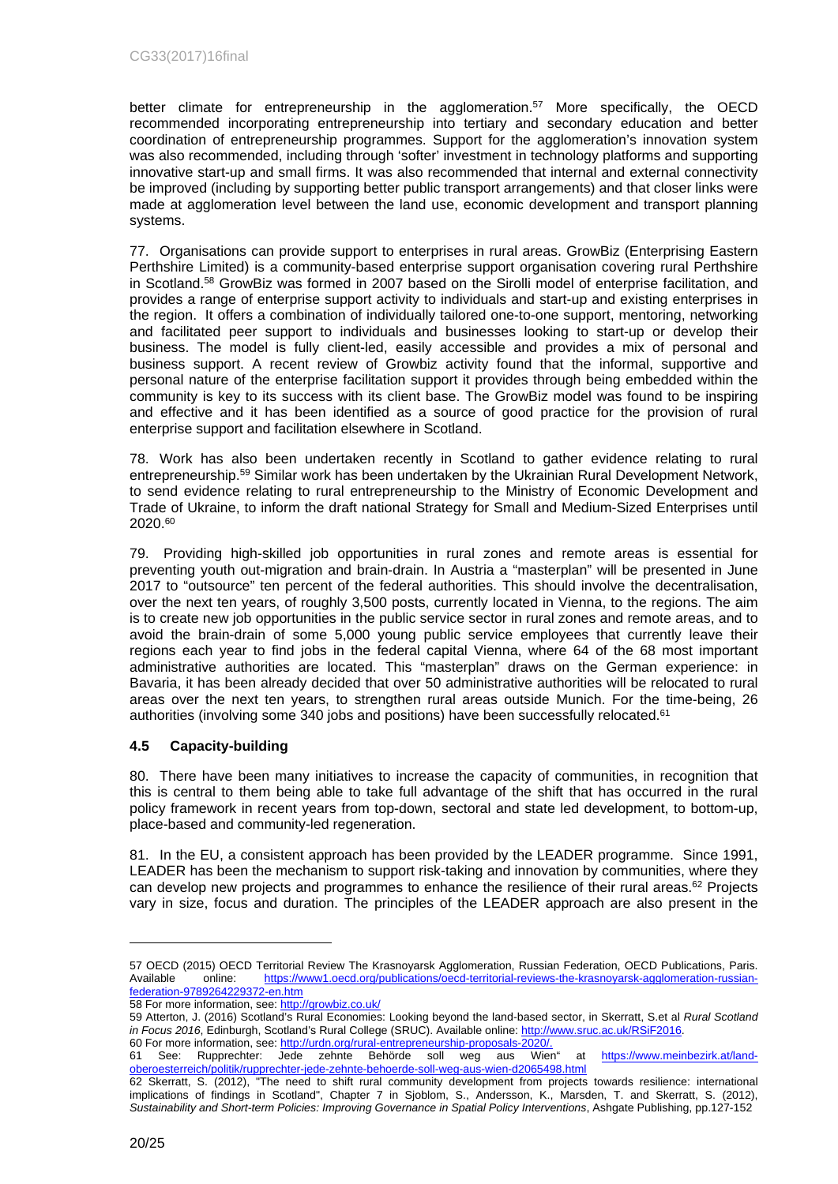better climate for entrepreneurship in the agglomeration.<sup>57</sup> More specifically, the OECD recommended incorporating entrepreneurship into tertiary and secondary education and better coordination of entrepreneurship programmes. Support for the agglomeration's innovation system was also recommended, including through 'softer' investment in technology platforms and supporting innovative start-up and small firms. It was also recommended that internal and external connectivity be improved (including by supporting better public transport arrangements) and that closer links were made at agglomeration level between the land use, economic development and transport planning systems.

77. Organisations can provide support to enterprises in rural areas. GrowBiz (Enterprising Eastern Perthshire Limited) is a community-based enterprise support organisation covering rural Perthshire in Scotland.<sup>58</sup> GrowBiz was formed in 2007 based on the Sirolli model of enterprise facilitation, and provides a range of enterprise support activity to individuals and start-up and existing enterprises in the region. It offers a combination of individually tailored one-to-one support, mentoring, networking and facilitated peer support to individuals and businesses looking to start-up or develop their business. The model is fully client-led, easily accessible and provides a mix of personal and business support. A recent review of Growbiz activity found that the informal, supportive and personal nature of the enterprise facilitation support it provides through being embedded within the community is key to its success with its client base. The GrowBiz model was found to be inspiring and effective and it has been identified as a source of good practice for the provision of rural enterprise support and facilitation elsewhere in Scotland.

78. Work has also been undertaken recently in Scotland to gather evidence relating to rural entrepreneurship.<sup>59</sup> Similar work has been undertaken by the Ukrainian Rural Development Network, to send evidence relating to rural entrepreneurship to the Ministry of Economic Development and Trade of Ukraine, to inform the draft national Strategy for Small and Medium-Sized Enterprises until 2020.<sup>60</sup>

79. Providing high-skilled job opportunities in rural zones and remote areas is essential for preventing youth out-migration and brain-drain. In Austria a "masterplan" will be presented in June 2017 to "outsource" ten percent of the federal authorities. This should involve the decentralisation, over the next ten years, of roughly 3,500 posts, currently located in Vienna, to the regions. The aim is to create new job opportunities in the public service sector in rural zones and remote areas, and to avoid the brain-drain of some 5,000 young public service employees that currently leave their regions each year to find jobs in the federal capital Vienna, where 64 of the 68 most important administrative authorities are located. This "masterplan" draws on the German experience: in Bavaria, it has been already decided that over 50 administrative authorities will be relocated to rural areas over the next ten years, to strengthen rural areas outside Munich. For the time-being, 26 authorities (involving some 340 jobs and positions) have been successfully relocated.<sup>61</sup>

## <span id="page-19-0"></span>**4.5 Capacity-building**

80. There have been many initiatives to increase the capacity of communities, in recognition that this is central to them being able to take full advantage of the shift that has occurred in the rural policy framework in recent years from top-down, sectoral and state led development, to bottom-up, place-based and community-led regeneration.

81. In the EU, a consistent approach has been provided by the LEADER programme. Since 1991, LEADER has been the mechanism to support risk-taking and innovation by communities, where they can develop new projects and programmes to enhance the resilience of their rural areas.<sup>62</sup> Projects vary in size, focus and duration. The principles of the LEADER approach are also present in the

<sup>57</sup> OECD (2015) OECD Territorial Review The Krasnoyarsk Agglomeration, Russian Federation, OECD Publications, Paris. Available online: [https://www1.oecd.org/publications/oecd-territorial-reviews-the-krasnoyarsk-agglomeration-russian](https://www1.oecd.org/publications/oecd-territorial-reviews-the-krasnoyarsk-agglomeration-russian-federation-9789264229372-en.htm)[federation-9789264229372-en.htm](https://www1.oecd.org/publications/oecd-territorial-reviews-the-krasnoyarsk-agglomeration-russian-federation-9789264229372-en.htm)

<sup>58</sup> For more information, see:<http://growbiz.co.uk/>

<sup>59</sup> Atterton, J. (2016) Scotland's Rural Economies: Looking beyond the land-based sector, in Skerratt, S.et al *Rural Scotland in Focus 2016*, Edinburgh, Scotland's Rural College (SRUC). Available online: <http://www.sruc.ac.uk/RSiF2016>. 60 For more information, see: [http://urdn.org/rural-entrepreneurship-proposals-2020/.](http://urdn.org/rural-entrepreneurship-proposals-2020/)

<sup>61</sup> See: Rupprechter: Jede zehnte Behörde soll weg aus Wien" at [https://www.meinbezirk.at/land](https://www.meinbezirk.at/land-oberoesterreich/politik/rupprechter-jede-zehnte-behoerde-soll-weg-aus-wien-d2065498.html)[oberoesterreich/politik/rupprechter-jede-zehnte-behoerde-soll-weg-aus-wien-d2065498.html](https://www.meinbezirk.at/land-oberoesterreich/politik/rupprechter-jede-zehnte-behoerde-soll-weg-aus-wien-d2065498.html)

<sup>62</sup> Skerratt, S. (2012), "The need to shift rural community development from projects towards resilience: international implications of findings in Scotland", Chapter 7 in Sjoblom, S., Andersson, K., Marsden, T. and Skerratt, S. (2012), *Sustainability and Short-term Policies: Improving Governance in Spatial Policy Interventions*, Ashgate Publishing, pp.127-152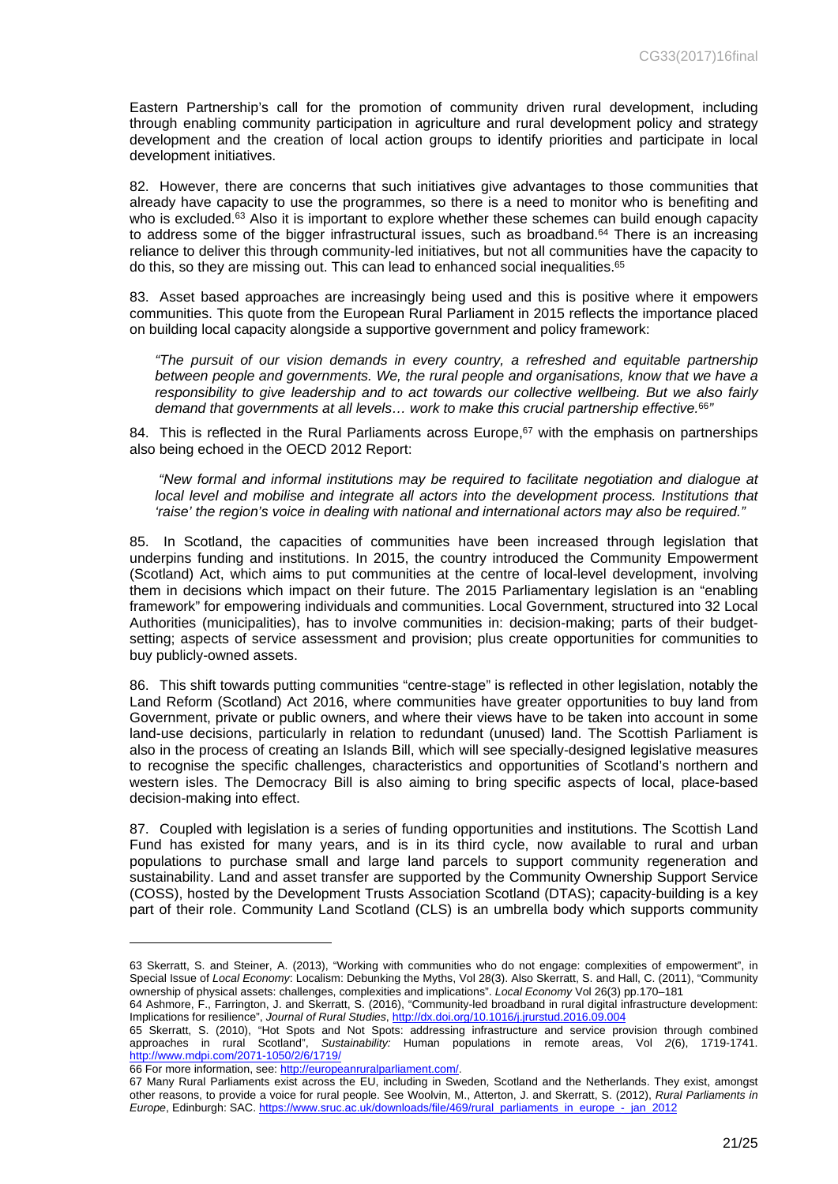Eastern Partnership's call for the promotion of community driven rural development, including through enabling community participation in agriculture and rural development policy and strategy development and the creation of local action groups to identify priorities and participate in local development initiatives.

82. However, there are concerns that such initiatives give advantages to those communities that already have capacity to use the programmes, so there is a need to monitor who is benefiting and who is excluded.<sup>63</sup> Also it is important to explore whether these schemes can build enough capacity to address some of the bigger infrastructural issues, such as broadband.<sup>64</sup> There is an increasing reliance to deliver this through community-led initiatives, but not all communities have the capacity to do this, so they are missing out. This can lead to enhanced social inequalities.<sup>65</sup>

83. Asset based approaches are increasingly being used and this is positive where it empowers communities. This quote from the European Rural Parliament in 2015 reflects the importance placed on building local capacity alongside a supportive government and policy framework:

*"The pursuit of our vision demands in every country, a refreshed and equitable partnership between people and governments. We, the rural people and organisations, know that we have a responsibility to give leadership and to act towards our collective wellbeing. But we also fairly demand that governments at all levels… work to make this crucial partnership effective.*<sup>66</sup>*"* 

84. This is reflected in the Rural Parliaments across Europe,<sup>67</sup> with the emphasis on partnerships also being echoed in the OECD 2012 Report:

*"New formal and informal institutions may be required to facilitate negotiation and dialogue at local level and mobilise and integrate all actors into the development process. Institutions that 'raise' the region's voice in dealing with national and international actors may also be required."* 

85. In Scotland, the capacities of communities have been increased through legislation that underpins funding and institutions. In 2015, the country introduced the Community Empowerment (Scotland) Act, which aims to put communities at the centre of local-level development, involving them in decisions which impact on their future. The 2015 Parliamentary legislation is an "enabling framework" for empowering individuals and communities. Local Government, structured into 32 Local Authorities (municipalities), has to involve communities in: decision-making; parts of their budgetsetting; aspects of service assessment and provision; plus create opportunities for communities to buy publicly-owned assets.

86. This shift towards putting communities "centre-stage" is reflected in other legislation, notably the Land Reform (Scotland) Act 2016, where communities have greater opportunities to buy land from Government, private or public owners, and where their views have to be taken into account in some land-use decisions, particularly in relation to redundant (unused) land. The Scottish Parliament is also in the process of creating an Islands Bill, which will see specially-designed legislative measures to recognise the specific challenges, characteristics and opportunities of Scotland's northern and western isles. The Democracy Bill is also aiming to bring specific aspects of local, place-based decision-making into effect.

87. Coupled with legislation is a series of funding opportunities and institutions. The Scottish Land Fund has existed for many years, and is in its third cycle, now available to rural and urban populations to purchase small and large land parcels to support community regeneration and sustainability. Land and asset transfer are supported by the Community Ownership Support Service (COSS), hosted by the Development Trusts Association Scotland (DTAS); capacity-building is a key part of their role. Community Land Scotland (CLS) is an umbrella body which supports community

<sup>63</sup> Skerratt, S. and Steiner, A. (2013), "Working with communities who do not engage: complexities of empowerment", in Special Issue of *Local Economy*: Localism: Debunking the Myths, Vol 28(3). Also Skerratt, S. and Hall, C. (2011), "Community ownership of physical assets: challenges, complexities and implications". *Local Economy* Vol 26(3) pp.170–181

<sup>64</sup> Ashmore, F., Farrington, J. and Skerratt, S. (2016), "Community-led broadband in rural digital infrastructure development: Implications for resilience", *Journal of Rural Studies*, <http://dx.doi.org/10.1016/j.jrurstud.2016.09.004>

<sup>65</sup> Skerratt, S. (2010), "Hot Spots and Not Spots: addressing infrastructure and service provision through combined approaches in rural Scotland", *Sustainability:* Human populations in remote areas, Vol *2*(6), 1719-1741. <http://www.mdpi.com/2071-1050/2/6/1719/>

<sup>66</sup> For more information, see:<http://europeanruralparliament.com/>.

<sup>67</sup> Many Rural Parliaments exist across the EU, including in Sweden, Scotland and the Netherlands. They exist, amongst other reasons, to provide a voice for rural people. See Woolvin, M., Atterton, J. and Skerratt, S. (2012), *Rural Parliaments in Europe*, Edinburgh: SAC. [https://www.sruc.ac.uk/downloads/file/469/rural\\_parliaments\\_in\\_europe\\_-\\_jan\\_2012](https://www.sruc.ac.uk/downloads/file/469/rural_parliaments_in_europe_-_jan_2012)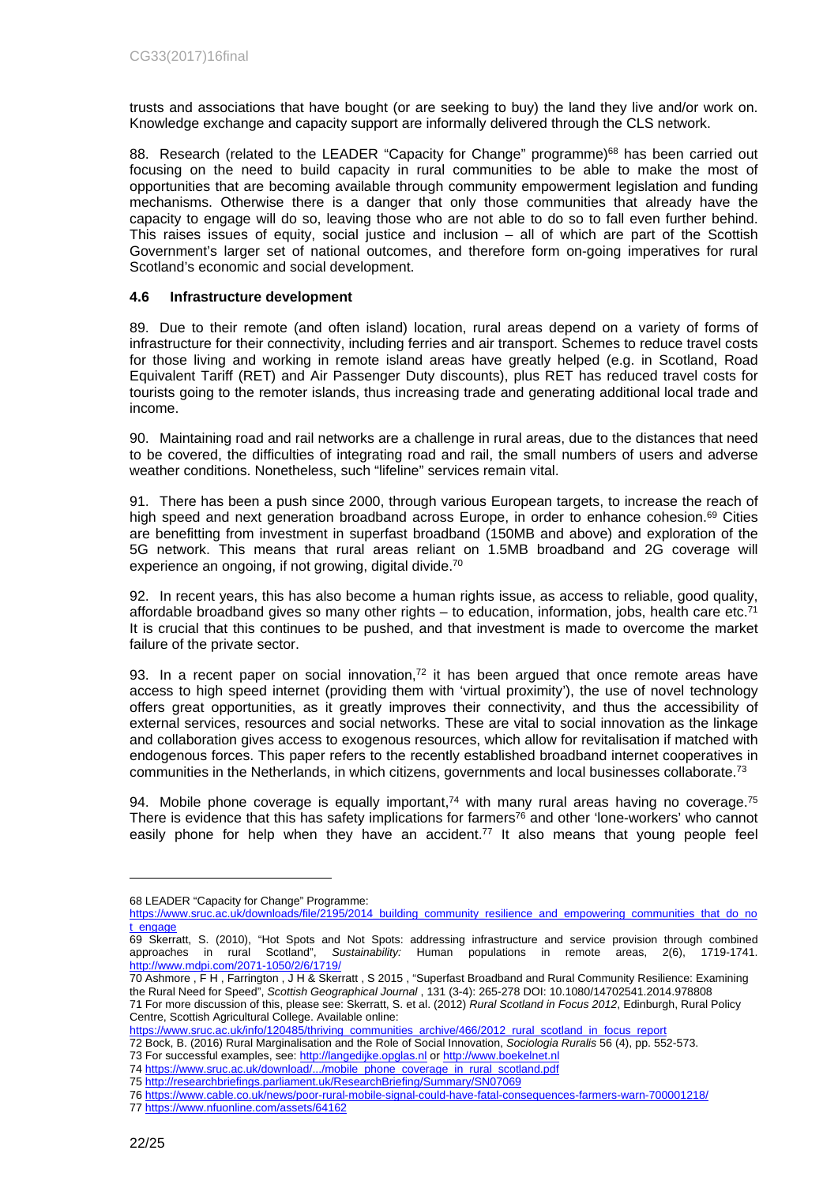trusts and associations that have bought (or are seeking to buy) the land they live and/or work on. Knowledge exchange and capacity support are informally delivered through the CLS network.

88. Research (related to the LEADER "Capacity for Change" programme)<sup>68</sup> has been carried out focusing on the need to build capacity in rural communities to be able to make the most of opportunities that are becoming available through community empowerment legislation and funding mechanisms. Otherwise there is a danger that only those communities that already have the capacity to engage will do so, leaving those who are not able to do so to fall even further behind. This raises issues of equity, social justice and inclusion  $-$  all of which are part of the Scottish Government's larger set of national outcomes, and therefore form on-going imperatives for rural Scotland's economic and social development.

## <span id="page-21-0"></span>**4.6 Infrastructure development**

89. Due to their remote (and often island) location, rural areas depend on a variety of forms of infrastructure for their connectivity, including ferries and air transport. Schemes to reduce travel costs for those living and working in remote island areas have greatly helped (e.g. in Scotland, Road Equivalent Tariff (RET) and Air Passenger Duty discounts), plus RET has reduced travel costs for tourists going to the remoter islands, thus increasing trade and generating additional local trade and income.

90. Maintaining road and rail networks are a challenge in rural areas, due to the distances that need to be covered, the difficulties of integrating road and rail, the small numbers of users and adverse weather conditions. Nonetheless, such "lifeline" services remain vital.

91. There has been a push since 2000, through various European targets, to increase the reach of high speed and next generation broadband across Europe, in order to enhance cohesion.<sup>69</sup> Cities are benefitting from investment in superfast broadband (150MB and above) and exploration of the 5G network. This means that rural areas reliant on 1.5MB broadband and 2G coverage will experience an ongoing, if not growing, digital divide.<sup>70</sup>

92. In recent years, this has also become a human rights issue, as access to reliable, good quality, affordable broadband gives so many other rights – to education, information, jobs, health care etc.<sup>71</sup> It is crucial that this continues to be pushed, and that investment is made to overcome the market failure of the private sector.

93. In a recent paper on social innovation, $72$  it has been argued that once remote areas have access to high speed internet (providing them with 'virtual proximity'), the use of novel technology offers great opportunities, as it greatly improves their connectivity, and thus the accessibility of external services, resources and social networks. These are vital to social innovation as the linkage and collaboration gives access to exogenous resources, which allow for revitalisation if matched with endogenous forces. This paper refers to the recently established broadband internet cooperatives in communities in the Netherlands, in which citizens, governments and local businesses collaborate.<sup>73</sup>

94. Mobile phone coverage is equally important,<sup>74</sup> with many rural areas having no coverage.<sup>75</sup> There is evidence that this has safety implications for farmers<sup>76</sup> and other 'lone-workers' who cannot easily phone for help when they have an accident. $77$  It also means that young people feel

<sup>68</sup> LEADER "Capacity for Change" Programme:

[https://www.sruc.ac.uk/downloads/file/2195/2014\\_building\\_community\\_resilience\\_and\\_empowering\\_communities\\_that\\_do\\_no](https://www.sruc.ac.uk/downloads/file/2195/2014_building_community_resilience_and_empowering_communities_that_do_not_engage) [t\\_engage](https://www.sruc.ac.uk/downloads/file/2195/2014_building_community_resilience_and_empowering_communities_that_do_not_engage)

<sup>69</sup> Skerratt, S. (2010), "Hot Spots and Not Spots: addressing infrastructure and service provision through combined approaches in rural Scotland", *Sustainability:* Human populations in remote areas, 2(6), 1719-1741. <http://www.mdpi.com/2071-1050/2/6/1719/>

<sup>70</sup> Ashmore , F H , Farrington , J H & Skerratt , S 2015 , "Superfast Broadband and Rural Community Resilience: Examining the Rural Need for Speed", *Scottish Geographical Journal* , 131 (3-4): 265-278 DOI: 10.1080/14702541.2014.978808 71 For more discussion of this, please see: Skerratt, S. et al. (2012) *Rural Scotland in Focus 2012*, Edinburgh, Rural Policy Centre, Scottish Agricultural College. Available online:

[https://www.sruc.ac.uk/info/120485/thriving\\_communities\\_archive/466/2012\\_rural\\_scotland\\_in\\_focus\\_report](https://www.sruc.ac.uk/info/120485/thriving_communities_archive/466/2012_rural_scotland_in_focus_report)

<sup>72</sup> Bock, B. (2016) Rural Marginalisation and the Role of Social Innovation, *Sociologia Ruralis* 56 (4), pp. 552-573.

<sup>73</sup> For successful examples, see:<http://langedijke.opglas.nl> or <http://www.boekelnet.nl>

<sup>74</sup> [https://www.sruc.ac.uk/download/.../mobile\\_phone\\_coverage\\_in\\_rural\\_scotland.pdf](https://www.sruc.ac.uk/download/.../mobile_phone_coverage_in_rural_scotland.pdf)

<sup>75</sup><http://researchbriefings.parliament.uk/ResearchBriefing/Summary/SN07069>

<sup>76</sup><https://www.cable.co.uk/news/poor-rural-mobile-signal-could-have-fatal-consequences-farmers-warn-700001218/>

<sup>77</sup><https://www.nfuonline.com/assets/64162>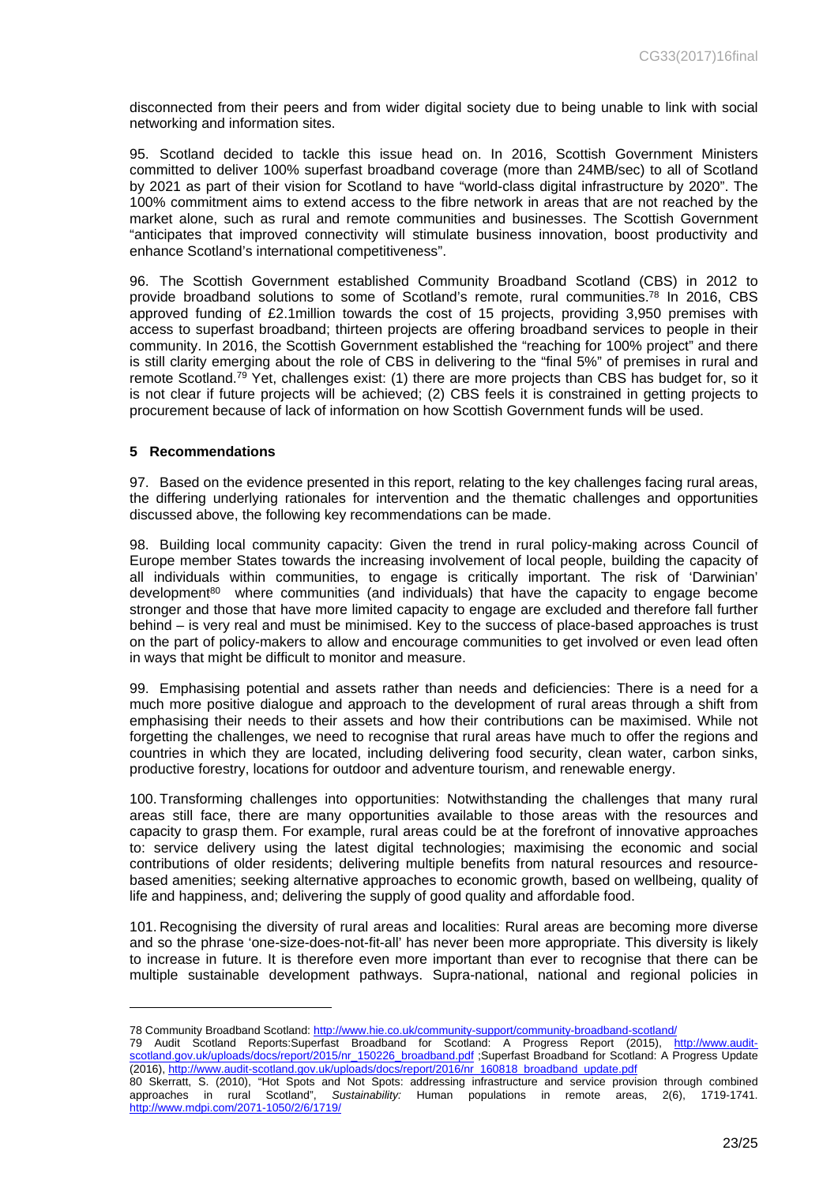disconnected from their peers and from wider digital society due to being unable to link with social networking and information sites.

95. Scotland decided to tackle this issue head on. In 2016, Scottish Government Ministers committed to deliver 100% superfast broadband coverage (more than 24MB/sec) to all of Scotland by 2021 as part of their vision for Scotland to have "world-class digital infrastructure by 2020". The 100% commitment aims to extend access to the fibre network in areas that are not reached by the market alone, such as rural and remote communities and businesses. The Scottish Government "anticipates that improved connectivity will stimulate business innovation, boost productivity and enhance Scotland's international competitiveness".

96. The Scottish Government established Community Broadband Scotland (CBS) in 2012 to provide broadband solutions to some of Scotland's remote, rural communities.<sup>78</sup> In 2016, CBS approved funding of £2.1million towards the cost of 15 projects, providing 3,950 premises with access to superfast broadband; thirteen projects are offering broadband services to people in their community. In 2016, the Scottish Government established the "reaching for 100% project" and there is still clarity emerging about the role of CBS in delivering to the "final 5%" of premises in rural and remote Scotland.<sup>79</sup> Yet, challenges exist: (1) there are more projects than CBS has budget for, so it is not clear if future projects will be achieved; (2) CBS feels it is constrained in getting projects to procurement because of lack of information on how Scottish Government funds will be used.

#### <span id="page-22-0"></span>**5 Recommendations**

97. Based on the evidence presented in this report, relating to the key challenges facing rural areas, the differing underlying rationales for intervention and the thematic challenges and opportunities discussed above, the following key recommendations can be made.

98. Building local community capacity: Given the trend in rural policy-making across Council of Europe member States towards the increasing involvement of local people, building the capacity of all individuals within communities, to engage is critically important. The risk of 'Darwinian' development<sup>80</sup> where communities (and individuals) that have the capacity to engage become stronger and those that have more limited capacity to engage are excluded and therefore fall further behind – is very real and must be minimised. Key to the success of place-based approaches is trust on the part of policy-makers to allow and encourage communities to get involved or even lead often in ways that might be difficult to monitor and measure.

99. Emphasising potential and assets rather than needs and deficiencies: There is a need for a much more positive dialogue and approach to the development of rural areas through a shift from emphasising their needs to their assets and how their contributions can be maximised. While not forgetting the challenges, we need to recognise that rural areas have much to offer the regions and countries in which they are located, including delivering food security, clean water, carbon sinks, productive forestry, locations for outdoor and adventure tourism, and renewable energy.

100. Transforming challenges into opportunities: Notwithstanding the challenges that many rural areas still face, there are many opportunities available to those areas with the resources and capacity to grasp them. For example, rural areas could be at the forefront of innovative approaches to: service delivery using the latest digital technologies; maximising the economic and social contributions of older residents; delivering multiple benefits from natural resources and resourcebased amenities; seeking alternative approaches to economic growth, based on wellbeing, quality of life and happiness, and; delivering the supply of good quality and affordable food.

101. Recognising the diversity of rural areas and localities: Rural areas are becoming more diverse and so the phrase 'one-size-does-not-fit-all' has never been more appropriate. This diversity is likely to increase in future. It is therefore even more important than ever to recognise that there can be multiple sustainable development pathways. Supra-national, national and regional policies in

79 Audit Scotland Reports:Superfast Broadband for Scotland: A Progress Report (2015), [http://www.audit](http://www.audit-scotland.gov.uk/uploads/docs/report/2015/nr_150226_broadband.pdf)[scotland.gov.uk/uploads/docs/report/2015/nr\\_150226\\_broadband.pdf](http://www.audit-scotland.gov.uk/uploads/docs/report/2015/nr_150226_broadband.pdf) ;Superfast Broadband for Scotland: A Progress Update (2016), [http://www.audit-scotland.gov.uk/uploads/docs/report/2016/nr\\_160818\\_broadband\\_update.pdf](http://www.audit-scotland.gov.uk/uploads/docs/report/2016/nr_160818_broadband_update.pdf)

<sup>78</sup> Community Broadband Scotland: <http://www.hie.co.uk/community-support/community-broadband-scotland/>

<sup>80</sup> Skerratt, S. (2010), "Hot Spots and Not Spots: addressing infrastructure and service provision through combined approaches in rural Scotland", *Sustainability:* Human populations in remote areas, 2(6), 1719-1741. <http://www.mdpi.com/2071-1050/2/6/1719/>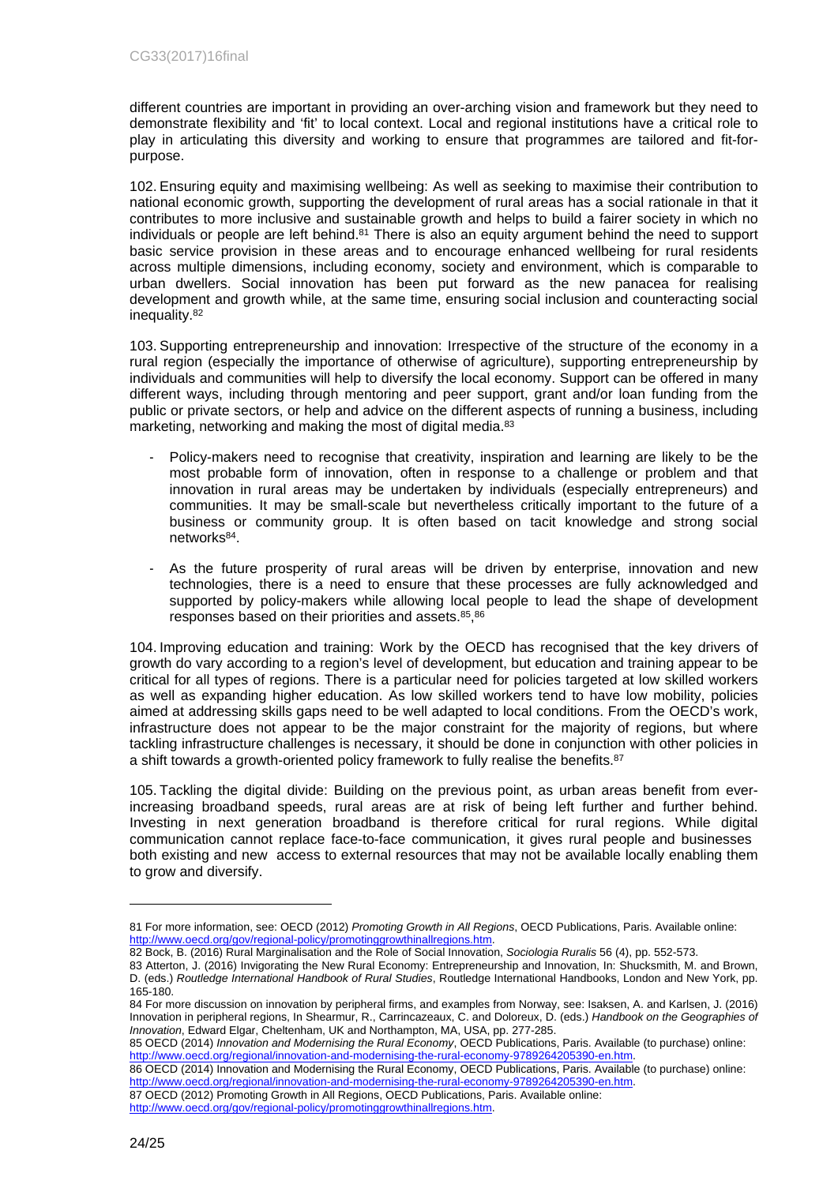different countries are important in providing an over-arching vision and framework but they need to demonstrate flexibility and 'fit' to local context. Local and regional institutions have a critical role to play in articulating this diversity and working to ensure that programmes are tailored and fit-forpurpose.

102. Ensuring equity and maximising wellbeing: As well as seeking to maximise their contribution to national economic growth, supporting the development of rural areas has a social rationale in that it contributes to more inclusive and sustainable growth and helps to build a fairer society in which no individuals or people are left behind.<sup>81</sup> There is also an equity argument behind the need to support basic service provision in these areas and to encourage enhanced wellbeing for rural residents across multiple dimensions, including economy, society and environment, which is comparable to urban dwellers. Social innovation has been put forward as the new panacea for realising development and growth while, at the same time, ensuring social inclusion and counteracting social inequality.<sup>82</sup>

103. Supporting entrepreneurship and innovation: Irrespective of the structure of the economy in a rural region (especially the importance of otherwise of agriculture), supporting entrepreneurship by individuals and communities will help to diversify the local economy. Support can be offered in many different ways, including through mentoring and peer support, grant and/or loan funding from the public or private sectors, or help and advice on the different aspects of running a business, including marketing, networking and making the most of digital media.<sup>83</sup>

- Policy-makers need to recognise that creativity, inspiration and learning are likely to be the most probable form of innovation, often in response to a challenge or problem and that innovation in rural areas may be undertaken by individuals (especially entrepreneurs) and communities. It may be small-scale but nevertheless critically important to the future of a business or community group. It is often based on tacit knowledge and strong social networks<sup>84</sup>.
- As the future prosperity of rural areas will be driven by enterprise, innovation and new technologies, there is a need to ensure that these processes are fully acknowledged and supported by policy-makers while allowing local people to lead the shape of development responses based on their priorities and assets. 85, 86

104. Improving education and training: Work by the OECD has recognised that the key drivers of growth do vary according to a region's level of development, but education and training appear to be critical for all types of regions. There is a particular need for policies targeted at low skilled workers as well as expanding higher education. As low skilled workers tend to have low mobility, policies aimed at addressing skills gaps need to be well adapted to local conditions. From the OECD's work, infrastructure does not appear to be the major constraint for the majority of regions, but where tackling infrastructure challenges is necessary, it should be done in conjunction with other policies in a shift towards a growth-oriented policy framework to fully realise the benefits.<sup>87</sup>

105. Tackling the digital divide: Building on the previous point, as urban areas benefit from everincreasing broadband speeds, rural areas are at risk of being left further and further behind. Investing in next generation broadband is therefore critical for rural regions. While digital communication cannot replace face-to-face communication, it gives rural people and businesses both existing and new access to external resources that may not be available locally enabling them to grow and diversify.

<sup>81</sup> For more information, see: OECD (2012) *Promoting Growth in All Regions*, OECD Publications, Paris. Available online: [http://www.oecd.org/gov/regional-policy/promotinggrowthinallregions.htm.](http://www.oecd.org/gov/regional-policy/promotinggrowthinallregions.htm)

<sup>82</sup> Bock, B. (2016) Rural Marginalisation and the Role of Social Innovation, *Sociologia Ruralis* 56 (4), pp. 552-573.

<sup>83</sup> Atterton, J. (2016) Invigorating the New Rural Economy: Entrepreneurship and Innovation, In: Shucksmith, M. and Brown, D. (eds.) *Routledge International Handbook of Rural Studies*, Routledge International Handbooks, London and New York, pp. 165-180.

<sup>84</sup> For more discussion on innovation by peripheral firms, and examples from Norway, see: Isaksen, A. and Karlsen, J. (2016) Innovation in peripheral regions, In Shearmur, R., Carrincazeaux, C. and Doloreux, D. (eds.) *Handbook on the Geographies of Innovation*, Edward Elgar, Cheltenham, UK and Northampton, MA, USA, pp. 277-285.

<sup>85</sup> OECD (2014) *Innovation and Modernising the Rural Economy*, OECD Publications, Paris. Available (to purchase) online: [http://www.oecd.org/regional/innovation-and-modernising-the-rural-economy-9789264205390-en.htm.](http://www.oecd.org/regional/innovation-and-modernising-the-rural-economy-9789264205390-en.htm)

<sup>86</sup> OECD (2014) Innovation and Modernising the Rural Economy, OECD Publications, Paris. Available (to purchase) online: [http://www.oecd.org/regional/innovation-and-modernising-the-rural-economy-9789264205390-en.htm.](http://www.oecd.org/regional/innovation-and-modernising-the-rural-economy-9789264205390-en.htm)

<sup>87</sup> OECD (2012) Promoting Growth in All Regions, OECD Publications, Paris. Available online:

[http://www.oecd.org/gov/regional-policy/promotinggrowthinallregions.htm.](http://www.oecd.org/gov/regional-policy/promotinggrowthinallregions.htm)